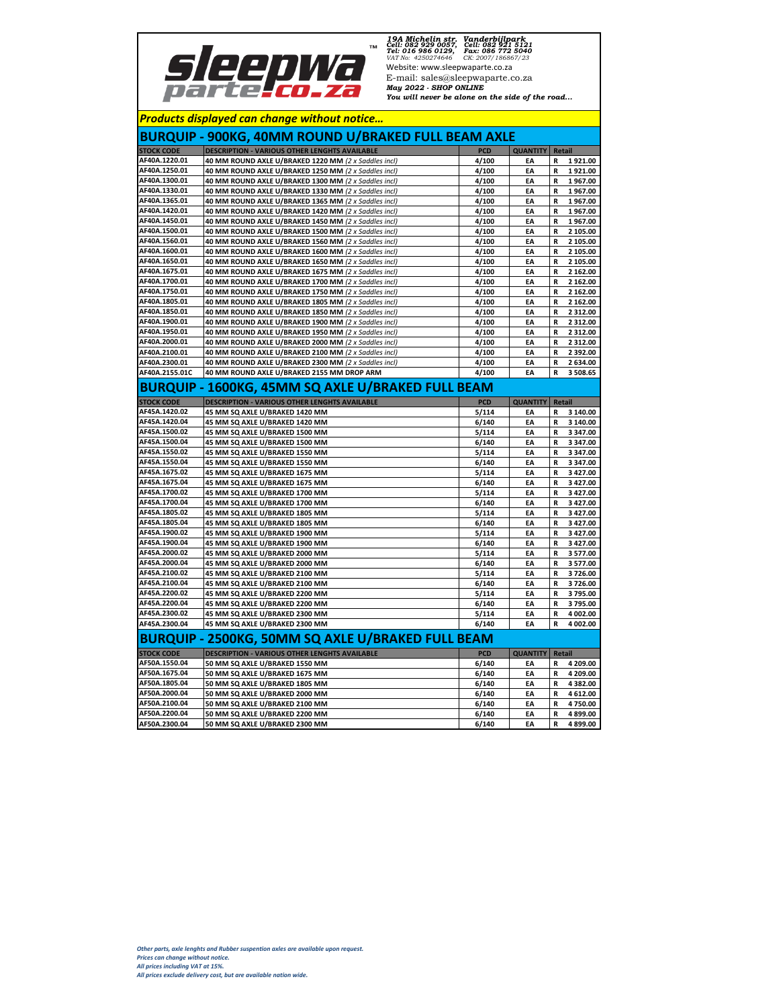

*19A Michelin str. Vanderbijlpark Cell: 082 929 0057, Cell: 082 921 5121 Tel: 016 986 0129, Fax: 086 772 5040 VAT No: 4250274646 CK: 2007/186867/23* Website: www.sleepwaparte.co.za E-mail: sales@sleepwaparte.co.za *May 2022 - SHOP ONLINE You will never be alone on the side of the road...*

|                   | <b>Products displayed can change without notice</b>        |            |                 |                         |
|-------------------|------------------------------------------------------------|------------|-----------------|-------------------------|
|                   | <b>BURQUIP - 900KG, 40MM ROUND U/BRAKED FULL BEAM AXLE</b> |            |                 |                         |
| <b>STOCK CODE</b> | <b>DESCRIPTION - VARIOUS OTHER LENGHTS AVAILABLE</b>       | <b>PCD</b> | <b>QUANTITY</b> | <b>Retail</b>           |
| AF40A.1220.01     | 40 MM ROUND AXLE U/BRAKED 1220 MM (2 x Saddles incl)       | 4/100      | EA              | R<br>1921.00            |
| AF40A.1250.01     | 40 MM ROUND AXLE U/BRAKED 1250 MM (2 x Saddles incl)       | 4/100      | EA              | 1921.00<br>R            |
| AF40A.1300.01     | 40 MM ROUND AXLE U/BRAKED 1300 MM (2 x Saddles incl)       | 4/100      | EA              | 1967.00<br>R            |
| AF40A.1330.01     | 40 MM ROUND AXLE U/BRAKED 1330 MM (2 x Saddles incl)       | 4/100      | EA              | 1967.00<br>R            |
| AF40A.1365.01     | 40 MM ROUND AXLE U/BRAKED 1365 MM (2 x Saddles incl)       | 4/100      | EA              | R<br>1967.00            |
| AF40A.1420.01     | 40 MM ROUND AXLE U/BRAKED 1420 MM (2 x Saddles incl)       | 4/100      | EA              | 1967.00<br>R            |
| AF40A.1450.01     | 40 MM ROUND AXLE U/BRAKED 1450 MM (2 x Saddles incl)       | 4/100      | EA              | R<br>1967.00            |
| AF40A.1500.01     | 40 MM ROUND AXLE U/BRAKED 1500 MM (2 x Saddles incl)       | 4/100      | EA              | R<br>2 105.00           |
| AF40A.1560.01     | 40 MM ROUND AXLE U/BRAKED 1560 MM (2 x Saddles incl)       | 4/100      | EA              | 2 105.00<br>R           |
| AF40A.1600.01     | 40 MM ROUND AXLE U/BRAKED 1600 MM (2 x Saddles incl)       | 4/100      | EA              | R<br>2 105.00           |
| AF40A.1650.01     | 40 MM ROUND AXLE U/BRAKED 1650 MM (2 x Saddles incl)       | 4/100      | EA              | 2 105.00<br>R           |
| AF40A.1675.01     | 40 MM ROUND AXLE U/BRAKED 1675 MM (2 x Saddles incl)       | 4/100      | EA              | 2 162.00<br>R           |
| AF40A.1700.01     | 40 MM ROUND AXLE U/BRAKED 1700 MM (2 x Saddles incl)       | 4/100      | EA              | 2 162.00<br>R           |
| AF40A.1750.01     | 40 MM ROUND AXLE U/BRAKED 1750 MM (2 x Saddles incl)       | 4/100      | EA              | R<br>2 162.00           |
| AF40A.1805.01     | 40 MM ROUND AXLE U/BRAKED 1805 MM (2 x Saddles incl)       | 4/100      | EA              | 2 162.00<br>R           |
| AF40A.1850.01     | 40 MM ROUND AXLE U/BRAKED 1850 MM (2 x Saddles incl)       | 4/100      | EA              | 2 3 1 2 .00<br>R        |
| AF40A.1900.01     | 40 MM ROUND AXLE U/BRAKED 1900 MM (2 x Saddles incl)       | 4/100      | EA              | 2 3 1 2 .00<br>R        |
| AF40A.1950.01     | 40 MM ROUND AXLE U/BRAKED 1950 MM (2 x Saddles incl)       | 4/100      | EA              | 2 3 1 2 .00<br>R        |
| AF40A.2000.01     | 40 MM ROUND AXLE U/BRAKED 2000 MM (2 x Saddles incl)       | 4/100      | EA              | 2 3 1 2 . 0 0<br>R      |
| AF40A.2100.01     | 40 MM ROUND AXLE U/BRAKED 2100 MM (2 x Saddles incl)       | 4/100      | EA              | R<br>2 392.00           |
| AF40A.2300.01     | 40 MM ROUND AXLE U/BRAKED 2300 MM (2 x Saddles incl)       | 4/100      | EA              | 2 634.00<br>R           |
| AF40A.2155.01C    | 40 MM ROUND AXLE U/BRAKED 2155 MM DROP ARM                 | 4/100      | EA              | R<br>3 508.65           |
|                   | BURQUIP - 1600KG, 45MM SQ AXLE U/BRAKED FULL BEAM          |            |                 |                         |
| <b>STOCK CODE</b> | <b>DESCRIPTION - VARIOUS OTHER LENGHTS AVAILABLE</b>       | <b>PCD</b> | <b>QUANTITY</b> | Retail                  |
| AF45A.1420.02     | 45 MM SQ AXLE U/BRAKED 1420 MM                             | 5/114      | EA              | 3 140.00<br>R           |
| AF45A.1420.04     | 45 MM SQ AXLE U/BRAKED 1420 MM                             | 6/140      | EA              | 3 140.00<br>R           |
| AF45A.1500.02     | 45 MM SQ AXLE U/BRAKED 1500 MM                             | 5/114      | EA              | R<br>3 347.00           |
| AF45A.1500.04     | 45 MM SQ AXLE U/BRAKED 1500 MM                             | 6/140      | EA              | 3 347.00<br>R           |
| AF45A.1550.02     | 45 MM SQ AXLE U/BRAKED 1550 MM                             | 5/114      | EA              | 3 347.00<br>R           |
| AF45A.1550.04     | 45 MM SQ AXLE U/BRAKED 1550 MM                             | 6/140      | EA              | 3 347.00<br>R           |
| AF45A.1675.02     | 45 MM SQ AXLE U/BRAKED 1675 MM                             | 5/114      | EA              | 3 427.00<br>R           |
| AF45A.1675.04     | 45 MM SQ AXLE U/BRAKED 1675 MM                             | 6/140      | EA              | 3 427.00<br>R           |
| AF45A.1700.02     | 45 MM SQ AXLE U/BRAKED 1700 MM                             | 5/114      | EA              | R<br>3 427.00           |
| AF45A.1700.04     | 45 MM SQ AXLE U/BRAKED 1700 MM                             | 6/140      | EA              | 3 427.00<br>R           |
| AF45A.1805.02     | 45 MM SQ AXLE U/BRAKED 1805 MM                             | 5/114      | EA              | 3 427.00<br>R           |
| AF45A.1805.04     | 45 MM SQ AXLE U/BRAKED 1805 MM                             | 6/140      | EA              | R<br>3 427.00           |
| AF45A.1900.02     | 45 MM SQ AXLE U/BRAKED 1900 MM                             | 5/114      | EA              | R<br>3 427.00           |
| AF45A.1900.04     | 45 MM SQ AXLE U/BRAKED 1900 MM                             | 6/140      | EA              | 3 427.00<br>R           |
| AF45A.2000.02     | 45 MM SQ AXLE U/BRAKED 2000 MM                             | 5/114      | EA              | R<br>3 577.00           |
| AF45A.2000.04     | 45 MM SQ AXLE U/BRAKED 2000 MM                             | 6/140      | EA              | 3 577.00<br>R           |
| AF45A.2100.02     | 45 MM SQ AXLE U/BRAKED 2100 MM                             | 5/114      | EA              | 3726.00<br>R            |
| AF45A.2100.04     | 45 MM SQ AXLE U/BRAKED 2100 MM                             | 6/140      | EA              | R<br>3726.00            |
| AF45A.2200.02     | 45 MM SQ AXLE U/BRAKED 2200 MM                             | 5/114      | EA              | 3795.00<br>R            |
| AF45A.2200.04     | 45 MM SQ AXLE U/BRAKED 2200 MM                             | 6/140      | EA              | 3795.00<br>R            |
| AF45A.2300.02     | 45 MM SQ AXLE U/BRAKED 2300 MM                             | 5/114      | EA              | 4 002.00<br>R           |
| AF45A.2300.04     | 45 MM SQ AXLE U/BRAKED 2300 MM                             | 6/140      | EA              | R<br>4 002.00           |
|                   | BURQUIP - 2500KG, 50MM SQ AXLE U/BRAKED FULL BEAM          |            |                 |                         |
| <b>STOCK CODE</b> | <b>DESCRIPTION - VARIOUS OTHER LENGHTS AVAILABLE</b>       | <b>PCD</b> | <b>QUANTITY</b> | <b>Retail</b>           |
| AF50A.1550.04     | 50 MM SQ AXLE U/BRAKED 1550 MM                             | 6/140      | EA              | 4 209.00<br>R           |
| AF50A.1675.04     | 50 MM SQ AXLE U/BRAKED 1675 MM                             | 6/140      | EA              | R<br>4 209.00           |
| AF50A.1805.04     | 50 MM SQ AXLE U/BRAKED 1805 MM                             | 6/140      | EA              | R<br>4 382.00           |
| AF50A.2000.04     | 50 MM SQ AXLE U/BRAKED 2000 MM                             | 6/140      | EA              | 4 612.00<br>R           |
| AF50A.2100.04     | 50 MM SQ AXLE U/BRAKED 2100 MM                             | 6/140      | EA              | 4 750.00<br>R           |
| AF50A.2200.04     | 50 MM SQ AXLE U/BRAKED 2200 MM                             | 6/140      | EA              | 4 899.00<br>R           |
| AF50A.2300.04     | 50 MM SQ AXLE U/BRAKED 2300 MM                             | 6/140      | EA              | $\mathbf R$<br>4 899.00 |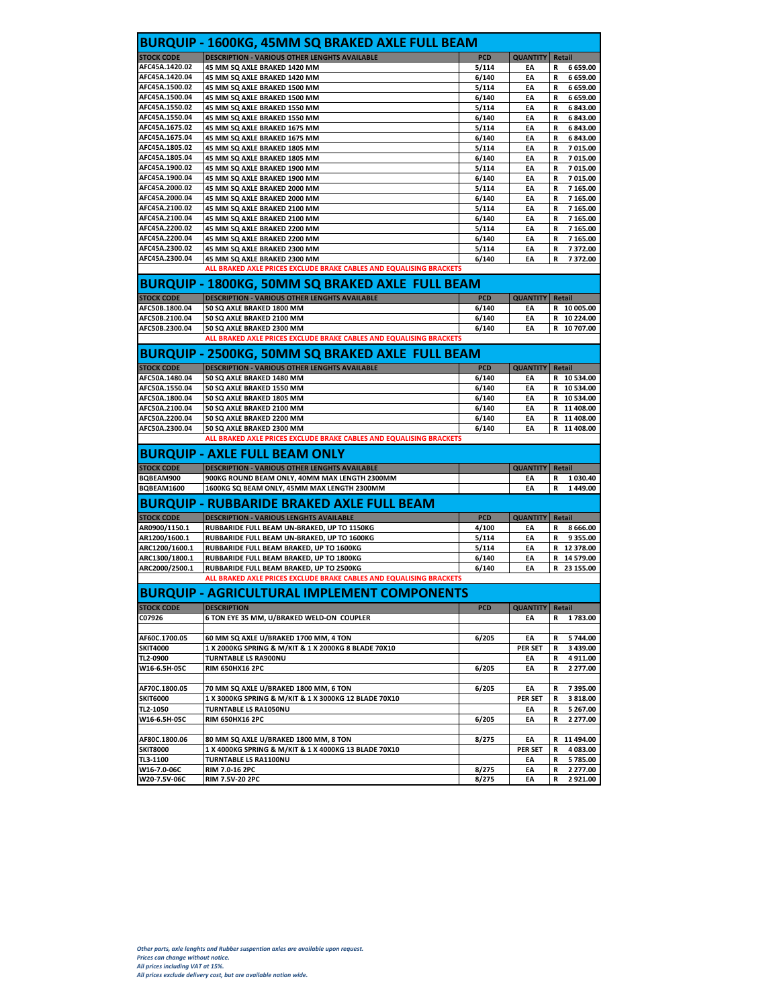|                                  | <b>BURQUIP - 1600KG, 45MM SQ BRAKED AXLE FULL BEAM</b>                                                |                |                        |                                  |
|----------------------------------|-------------------------------------------------------------------------------------------------------|----------------|------------------------|----------------------------------|
| <b>STOCK CODE</b>                | <b>DESCRIPTION - VARIOUS OTHER LENGHTS AVAILABLE</b>                                                  | <b>PCD</b>     | <b>QUANTITY</b>        | Retail                           |
| AFC45A.1420.02                   | 45 MM SQ AXLE BRAKED 1420 MM                                                                          | 5/114          | EA                     | 6 659.00<br>R                    |
| AFC45A.1420.04                   | 45 MM SQ AXLE BRAKED 1420 MM                                                                          | 6/140          | EA                     | R<br>6 659.00                    |
| AFC45A.1500.02                   | 45 MM SQ AXLE BRAKED 1500 MM                                                                          | 5/114          | EA                     | 6 659.00<br>R                    |
| AFC45A.1500.04                   | 45 MM SQ AXLE BRAKED 1500 MM                                                                          | 6/140          | EA                     | 6 659.00<br>R                    |
| AFC45A.1550.02                   | 45 MM SQ AXLE BRAKED 1550 MM                                                                          | 5/114          | EA                     | 6 843.00<br>R                    |
| AFC45A.1550.04                   | 45 MM SQ AXLE BRAKED 1550 MM                                                                          | 6/140          | EA                     | 6 843.00<br>R                    |
| AFC45A.1675.02                   | 45 MM SQ AXLE BRAKED 1675 MM                                                                          | 5/114          | EA                     | 6 843.00<br>R                    |
| AFC45A.1675.04                   | 45 MM SQ AXLE BRAKED 1675 MM                                                                          | 6/140          | EA                     | 6 843.00<br>R                    |
| AFC45A.1805.02<br>AFC45A.1805.04 | 45 MM SQ AXLE BRAKED 1805 MM                                                                          | 5/114          | EA<br>EA               | R<br>7 015.00                    |
| AFC45A.1900.02                   | 45 MM SQ AXLE BRAKED 1805 MM<br>45 MM SQ AXLE BRAKED 1900 MM                                          | 6/140<br>5/114 | EA                     | 7 015.00<br>R<br>7 015.00<br>R   |
| AFC45A.1900.04                   | 45 MM SQ AXLE BRAKED 1900 MM                                                                          | 6/140          | EA                     | 7 015.00<br>R                    |
| AFC45A.2000.02                   | 45 MM SQ AXLE BRAKED 2000 MM                                                                          | 5/114          | EA                     | 7 165.00<br>R                    |
| AFC45A.2000.04                   | 45 MM SQ AXLE BRAKED 2000 MM                                                                          | 6/140          | EA                     | 7 165.00<br>R                    |
| AFC45A.2100.02                   | 45 MM SQ AXLE BRAKED 2100 MM                                                                          | 5/114          | EA                     | R<br>7 165.00                    |
| AFC45A.2100.04                   | 45 MM SQ AXLE BRAKED 2100 MM                                                                          | 6/140          | EA                     | 7 165.00<br>R                    |
| AFC45A.2200.02                   | 45 MM SQ AXLE BRAKED 2200 MM                                                                          | 5/114          | EA                     | 7 165.00<br>R                    |
| AFC45A.2200.04                   | 45 MM SQ AXLE BRAKED 2200 MM                                                                          | 6/140          | EA                     | 7 165.00<br>R                    |
| AFC45A.2300.02                   | 45 MM SQ AXLE BRAKED 2300 MM                                                                          | 5/114          | EA                     | 7372.00<br>R                     |
| AFC45A.2300.04                   | 45 MM SQ AXLE BRAKED 2300 MM                                                                          | 6/140          | EA                     | 7372.00<br>R                     |
|                                  | ALL BRAKED AXLE PRICES EXCLUDE BRAKE CABLES AND EQUALISING BRACKETS                                   |                |                        |                                  |
|                                  | <b>BURQUIP - 1800KG, 50MM SQ BRAKED AXLE FULL BEAM</b>                                                |                |                        |                                  |
| <b>STOCK CODE</b>                | <b>DESCRIPTION - VARIOUS OTHER LENGHTS AVAILABLE</b>                                                  | <b>PCD</b>     | <b>QUANTITY</b>        | Retail                           |
| AFC50B.1800.04                   | 50 SQ AXLE BRAKED 1800 MM                                                                             | 6/140          | EA                     | R 10 005.00                      |
| AFC50B.2100.04                   | 50 SQ AXLE BRAKED 2100 MM                                                                             | 6/140          | EA                     | R 10 224.00                      |
| AFC50B.2300.04                   | 50 SQ AXLE BRAKED 2300 MM                                                                             | 6/140          | EA                     | R<br>10 707.00                   |
|                                  | ALL BRAKED AXLE PRICES EXCLUDE BRAKE CABLES AND EQUALISING BRACKETS                                   |                |                        |                                  |
|                                  | <b>BURQUIP - 2500KG, 50MM SQ BRAKED AXLE FULL BEAM</b>                                                |                |                        |                                  |
| <b>STOCK CODE</b>                | <b>DESCRIPTION - VARIOUS OTHER LENGHTS AVAILABLE</b>                                                  | <b>PCD</b>     | <b>QUANTITY</b>        | Retail                           |
| AFC50A.1480.04                   | 50 SQ AXLE BRAKED 1480 MM                                                                             | 6/140          | EA                     | R 10 534.00                      |
| AFC50A.1550.04                   | 50 SO AXLE BRAKED 1550 MM                                                                             | 6/140          | EA                     | R 10 534.00                      |
| AFC50A.1800.04                   | 50 SQ AXLE BRAKED 1805 MM                                                                             | 6/140          | EA                     | R 10 534.00                      |
| AFC50A.2100.04                   | 50 SQ AXLE BRAKED 2100 MM                                                                             | 6/140          | EA                     | 11 408.00<br>R                   |
| AFC50A.2200.04<br>AFC50A.2300.04 | 50 SQ AXLE BRAKED 2200 MM                                                                             | 6/140          | EA                     | 11 408.00<br>R<br>R              |
|                                  | 50 SQ AXLE BRAKED 2300 MM<br>ALL BRAKED AXLE PRICES EXCLUDE BRAKE CABLES AND EQUALISING BRACKETS      | 6/140          | EA                     | 11 408.00                        |
|                                  | <b>BURQUIP - AXLE FULL BEAM ONLY</b>                                                                  |                |                        |                                  |
|                                  |                                                                                                       |                |                        |                                  |
| <b>STOCK CODE</b><br>BQBEAM900   | <b>DESCRIPTION - VARIOUS OTHER LENGHTS AVAILABLE</b><br>900KG ROUND BEAM ONLY, 40MM MAX LENGTH 2300MM |                | <b>QUANTITY</b> Retail | 1 030.40<br>R                    |
| BQBEAM1600                       | 1600KG SQ BEAM ONLY, 45MM MAX LENGTH 2300MM                                                           |                | EA<br>EA               | R<br>1449.00                     |
|                                  |                                                                                                       |                |                        |                                  |
|                                  | BURQUIP - RUBBARIDE BRAKED AXLE FULL BEAM                                                             |                |                        |                                  |
| <b>STOCK CODE</b>                | <b>DESCRIPTION - VARIOUS LENGHTS AVAILABLE</b>                                                        | <b>PCD</b>     | <b>QUANTITY</b>        | Retail                           |
| AR0900/1150.1                    | RUBBARIDE FULL BEAM UN-BRAKED, UP TO 1150KG                                                           | 4/100          | EA                     | R<br>8 666.00                    |
| AR1200/1600.1                    | RUBBARIDE FULL BEAM UN-BRAKED, UP TO 1600KG                                                           | 5/114          | EA                     | 9 3 5 5 . 0 0<br>R               |
| ARC1200/1600.1                   | RUBBARIDE FULL BEAM BRAKED, UP TO 1600KG                                                              | 5/114          | EA                     | 12 378.00<br>R                   |
| ARC1300/1800.1<br>ARC2000/2500.1 | RUBBARIDE FULL BEAM BRAKED, UP TO 1800KG<br>RUBBARIDE FULL BEAM BRAKED, UP TO 2500KG                  | 6/140<br>6/140 | EA<br>EA               | 14 579.00<br>R<br>23 155.00<br>R |
|                                  | ALL BRAKED AXLE PRICES EXCLUDE BRAKE CABLES AND EQUALISING BRACKETS                                   |                |                        |                                  |
|                                  |                                                                                                       |                |                        |                                  |
|                                  | BURQUIP - AGRICULTURAL IMPLEMENT COMPONENTS                                                           |                |                        |                                  |
| <b>STOCK CODE</b>                | <b>DESCRIPTION</b>                                                                                    | <b>PCD</b>     | <b>QUANTITY</b>        | Retail                           |
| C07926                           | 6 TON EYE 35 MM, U/BRAKED WELD-ON COUPLER                                                             |                | EA                     | 1783.00<br>R                     |
| AF60C.1700.05                    | 60 MM SQ AXLE U/BRAKED 1700 MM, 4 TON                                                                 | 6/205          | EA                     | 5 744.00                         |
| <b>SKIT4000</b>                  | 1 X 2000KG SPRING & M/KIT & 1 X 2000KG 8 BLADE 70X10                                                  |                | PER SET                | R<br>3 439.00                    |
| TL2-0900                         | <b>TURNTABLE LS RA900NU</b>                                                                           |                | EA                     | R<br>4911.00<br>R                |
| W16-6.5H-05C                     | RIM 650HX16 2PC                                                                                       | 6/205          | EA                     | 2 277.00<br>R                    |
|                                  |                                                                                                       |                |                        |                                  |
| AF70C.1800.05                    | 70 MM SQ AXLE U/BRAKED 1800 MM, 6 TON                                                                 | 6/205          | EA                     | R<br>7 395.00                    |
| <b>SKIT6000</b>                  | 1 X 3000KG SPRING & M/KIT & 1 X 3000KG 12 BLADE 70X10                                                 |                | <b>PER SET</b>         | 3 818.00<br>R                    |
| TL2-1050                         | TURNTABLE LS RA1050NU                                                                                 |                | EA                     | 5 267.00<br>R                    |
| W16-6.5H-05C                     | RIM 650HX16 2PC                                                                                       | 6/205          | EA                     | 2 277.00<br>R                    |
| AF80C.1800.06                    | 80 MM SQ AXLE U/BRAKED 1800 MM, 8 TON                                                                 | 8/275          | EA                     | 11 494.00<br>R                   |
| <b>SKIT8000</b>                  | 1 X 4000KG SPRING & M/KIT & 1 X 4000KG 13 BLADE 70X10                                                 |                | PER SET                | 4 083.00<br>R                    |
| TL3-1100                         | TURNTABLE LS RA1100NU                                                                                 |                | EA                     | 5785.00<br>R                     |
| W16-7.0-06C                      | RIM 7.0-16 2PC                                                                                        | 8/275          | EA                     | 2 277.00<br>R                    |
| W20-7.5V-06C                     | RIM 7.5V-20 2PC                                                                                       | 8/275          | EA                     | R<br>2921.00                     |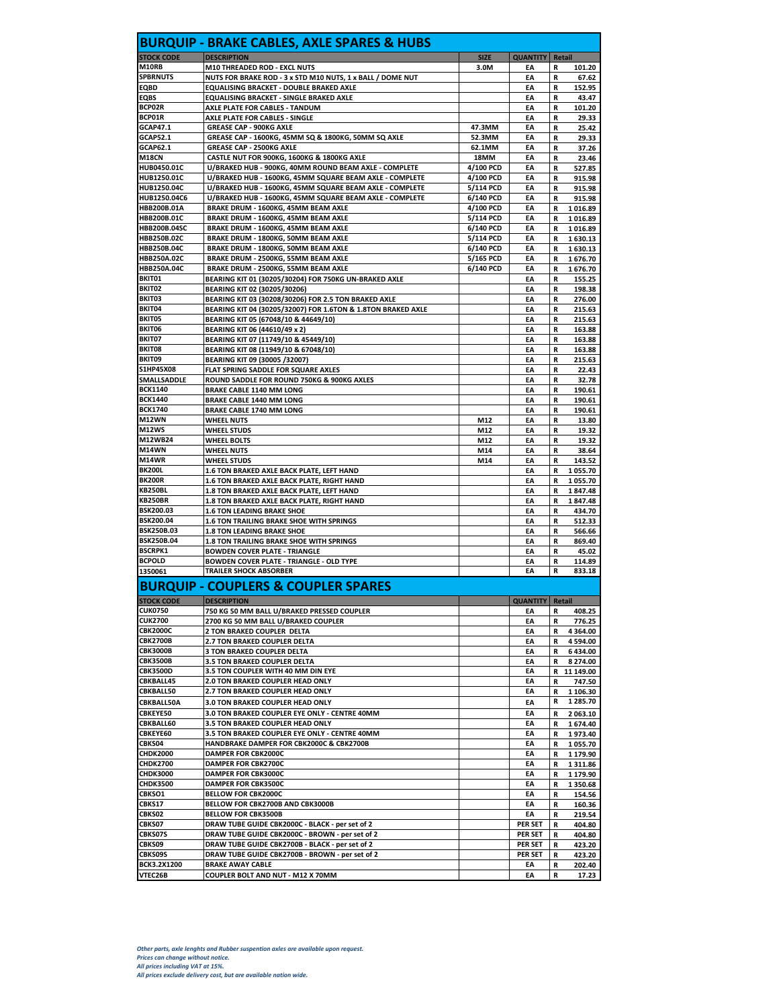| <b>STOCK CODE</b><br>M10RB<br><b>SPBRNUTS</b> | <b>DESCRIPTION</b>                                                         | <b>SIZE</b> | <b>QUANTITY   Retail</b> |        |                                                                                                                                                                                                                                                                                 |
|-----------------------------------------------|----------------------------------------------------------------------------|-------------|--------------------------|--------|---------------------------------------------------------------------------------------------------------------------------------------------------------------------------------------------------------------------------------------------------------------------------------|
|                                               |                                                                            |             |                          |        |                                                                                                                                                                                                                                                                                 |
|                                               | M10 THREADED ROD - EXCL NUTS                                               | 3.0M        | EΑ                       | R      | 101.20                                                                                                                                                                                                                                                                          |
|                                               | NUTS FOR BRAKE ROD - 3 x STD M10 NUTS, 1 x BALL / DOME NUT                 |             | EA                       | R      | 67.62                                                                                                                                                                                                                                                                           |
| EQBD                                          | <b>EQUALISING BRACKET - DOUBLE BRAKED AXLE</b>                             |             | EA                       | R      | 152.95                                                                                                                                                                                                                                                                          |
| <b>EQBS</b>                                   | <b>EQUALISING BRACKET - SINGLE BRAKED AXLE</b>                             |             | EA                       | R      | 43.47                                                                                                                                                                                                                                                                           |
| BCP02R                                        | AXLE PLATE FOR CABLES - TANDUM                                             |             | EA                       | R      | 101.20                                                                                                                                                                                                                                                                          |
| BCP01R                                        | <b>AXLE PLATE FOR CABLES - SINGLE</b>                                      |             | EA                       | R      | 29.33                                                                                                                                                                                                                                                                           |
| GCAP47.1                                      | <b>GREASE CAP - 900KG AXLE</b>                                             | 47.3MM      | EA                       | R      | 25.42                                                                                                                                                                                                                                                                           |
| <b>GCAP52.1</b>                               | GREASE CAP - 1600KG, 45MM SQ & 1800KG, 50MM SQ AXLE                        | 52.3MM      | EA                       | R      | 29.33                                                                                                                                                                                                                                                                           |
| GCAP62.1                                      | <b>GREASE CAP - 2500KG AXLE</b>                                            | 62.1MM      | EA                       | R      | 37.26                                                                                                                                                                                                                                                                           |
| <b>M18CN</b>                                  | CASTLE NUT FOR 900KG, 1600KG & 1800KG AXLE                                 | 18MM        | EA                       |        | 23.46                                                                                                                                                                                                                                                                           |
|                                               |                                                                            |             |                          | R      |                                                                                                                                                                                                                                                                                 |
| HUB0450.01C                                   | U/BRAKED HUB - 900KG, 40MM ROUND BEAM AXLE - COMPLETE                      | 4/100 PCD   | EA                       | R      | 527.85                                                                                                                                                                                                                                                                          |
| <b>HUB1250.01C</b>                            | U/BRAKED HUB - 1600KG, 45MM SQUARE BEAM AXLE - COMPLETE                    | 4/100 PCD   | EA                       | R      | 915.98                                                                                                                                                                                                                                                                          |
| <b>HUB1250.04C</b>                            | U/BRAKED HUB - 1600KG, 45MM SQUARE BEAM AXLE - COMPLETE                    | 5/114 PCD   | EA                       | R      | 915.98                                                                                                                                                                                                                                                                          |
| HUB1250.04C6                                  | U/BRAKED HUB - 1600KG, 45MM SQUARE BEAM AXLE - COMPLETE                    | 6/140 PCD   | EA                       | R      | 915.98                                                                                                                                                                                                                                                                          |
| HBB200B.01A                                   | BRAKE DRUM - 1600KG, 45MM BEAM AXLE                                        | 4/100 PCD   | EA                       | R      | 1016.89                                                                                                                                                                                                                                                                         |
| HBB200B.01C                                   | BRAKE DRUM - 1600KG, 45MM BEAM AXLE                                        | 5/114 PCD   | EA                       | R      | 1016.89                                                                                                                                                                                                                                                                         |
| HBB200B.04SC                                  | BRAKE DRUM - 1600KG, 45MM BEAM AXLE                                        | 6/140 PCD   | EA                       | R      | 1016.89                                                                                                                                                                                                                                                                         |
| HBB250B.02C                                   | BRAKE DRUM - 1800KG, 50MM BEAM AXLE                                        | 5/114 PCD   | EA                       | R      | 1630.13                                                                                                                                                                                                                                                                         |
| <b>HBB250B.04C</b>                            | BRAKE DRUM - 1800KG, 50MM BEAM AXLE                                        | 6/140 PCD   | EA                       | R      | 1630.13                                                                                                                                                                                                                                                                         |
|                                               |                                                                            |             |                          |        |                                                                                                                                                                                                                                                                                 |
| HBB250A.02C                                   | BRAKE DRUM - 2500KG, 55MM BEAM AXLE                                        | 5/165 PCD   | EA                       | R      | 1676.70                                                                                                                                                                                                                                                                         |
| HBB250A.04C                                   | BRAKE DRUM - 2500KG, 55MM BEAM AXLE                                        | 6/140 PCD   | EA                       | R      | 1676.70                                                                                                                                                                                                                                                                         |
| BKIT01                                        | BEARING KIT 01 (30205/30204) FOR 750KG UN-BRAKED AXLE                      |             | EA                       | R      | 155.25                                                                                                                                                                                                                                                                          |
| BKIT02                                        | BEARING KIT 02 (30205/30206)                                               |             | EA                       | R      | 198.38                                                                                                                                                                                                                                                                          |
| BKIT03                                        | BEARING KIT 03 (30208/30206) FOR 2.5 TON BRAKED AXLE                       |             | EA                       | R      | 276.00                                                                                                                                                                                                                                                                          |
| BKIT04                                        | BEARING KIT 04 (30205/32007) FOR 1.6TON & 1.8TON BRAKED AXLE               |             | EA                       | R      | 215.63                                                                                                                                                                                                                                                                          |
| BKIT05                                        | BEARING KIT 05 (67048/10 & 44649/10)                                       |             | EA                       | R      | 215.63                                                                                                                                                                                                                                                                          |
| BKIT06                                        | BEARING KIT 06 (44610/49 x 2)                                              |             | EA                       | R      | 163.88                                                                                                                                                                                                                                                                          |
| BKIT07                                        |                                                                            |             |                          |        |                                                                                                                                                                                                                                                                                 |
| BKIT08                                        | BEARING KIT 07 (11749/10 & 45449/10)                                       |             | EA                       | R      | 163.88                                                                                                                                                                                                                                                                          |
|                                               | BEARING KIT 08 (11949/10 & 67048/10)                                       |             | EA                       | R      | 163.88                                                                                                                                                                                                                                                                          |
| BKIT09                                        | BEARING KIT 09 (30005 /32007)                                              |             | EA                       | R      | 215.63                                                                                                                                                                                                                                                                          |
| S1HP45X08                                     | FLAT SPRING SADDLE FOR SQUARE AXLES                                        |             | EA                       | R      | 22.43                                                                                                                                                                                                                                                                           |
| SMALLSADDLE                                   | ROUND SADDLE FOR ROUND 750KG & 900KG AXLES                                 |             | EA                       | R      | 32.78                                                                                                                                                                                                                                                                           |
| <b>BCK1140</b>                                | <b>BRAKE CABLE 1140 MM LONG</b>                                            |             | EA                       | R      | 190.61                                                                                                                                                                                                                                                                          |
| <b>BCK1440</b>                                | BRAKE CABLE 1440 MM LONG                                                   |             | EA                       | R      | 190.61                                                                                                                                                                                                                                                                          |
| <b>BCK1740</b>                                | <b>BRAKE CABLE 1740 MM LONG</b>                                            |             | EA                       | R      | 190.61                                                                                                                                                                                                                                                                          |
| M12WN                                         | <b>WHEEL NUTS</b>                                                          | M12         | EA                       | R      | 13.80                                                                                                                                                                                                                                                                           |
| <b>M12WS</b>                                  | <b>WHEEL STUDS</b>                                                         | M12         | EA                       | R      | 19.32                                                                                                                                                                                                                                                                           |
| M12WB24                                       | <b>WHEEL BOLTS</b>                                                         | M12         | EA                       | R      | 19.32                                                                                                                                                                                                                                                                           |
| <b>M14WN</b>                                  |                                                                            |             |                          | R      |                                                                                                                                                                                                                                                                                 |
|                                               | <b>WHEEL NUTS</b>                                                          | M14         | EA                       |        | 38.64                                                                                                                                                                                                                                                                           |
| M14WR                                         | <b>WHEEL STUDS</b>                                                         | M14         | EA                       | R      | 143.52                                                                                                                                                                                                                                                                          |
| <b>BK200L</b>                                 | 1.6 TON BRAKED AXLE BACK PLATE, LEFT HAND                                  |             | EA                       | R      | 1 055.70                                                                                                                                                                                                                                                                        |
| <b>BK200R</b>                                 | 1.6 TON BRAKED AXLE BACK PLATE, RIGHT HAND                                 |             | EA                       | R      | 1055.70                                                                                                                                                                                                                                                                         |
| <b>KB250BL</b>                                | 1.8 TON BRAKED AXLE BACK PLATE, LEFT HAND                                  |             | EA                       | R      | 1847.48                                                                                                                                                                                                                                                                         |
| <b>KB250BR</b>                                | 1.8 TON BRAKED AXLE BACK PLATE, RIGHT HAND                                 |             | EA                       | R      | 1847.48                                                                                                                                                                                                                                                                         |
| <b>BSK200.03</b>                              | 1.6 TON LEADING BRAKE SHOE                                                 |             | EA                       | R      | 434.70                                                                                                                                                                                                                                                                          |
| BSK200.04                                     | 1.6 TON TRAILING BRAKE SHOE WITH SPRINGS                                   |             | EA                       | R      | 512.33                                                                                                                                                                                                                                                                          |
| <b>BSK250B.03</b>                             | <b>1.8 TON LEADING BRAKE SHOE</b>                                          |             | EA                       | R      | 566.66                                                                                                                                                                                                                                                                          |
| BSK250B.04                                    | 1.8 TON TRAILING BRAKE SHOE WITH SPRINGS                                   |             | EA                       | R      | 869.40                                                                                                                                                                                                                                                                          |
|                                               |                                                                            |             |                          |        |                                                                                                                                                                                                                                                                                 |
| <b>BSCRPK1</b>                                | <b>BOWDEN COVER PLATE - TRIANGLE</b>                                       |             | EA                       | R      | 45.02                                                                                                                                                                                                                                                                           |
| <b>BCPOLD</b>                                 | <b>BOWDEN COVER PLATE - TRIANGLE - OLD TYPE</b>                            |             | EA                       | R      | 114.89                                                                                                                                                                                                                                                                          |
|                                               | <b>TRAILER SHOCK ABSORBER</b>                                              |             | EA                       |        |                                                                                                                                                                                                                                                                                 |
| 1350061                                       |                                                                            |             |                          | R      |                                                                                                                                                                                                                                                                                 |
|                                               | <b>BURQUIP - COUPLERS &amp; COUPLER SPARES</b>                             |             |                          |        |                                                                                                                                                                                                                                                                                 |
| STOCK CODE DESCRIPTION                        |                                                                            | ш           | QUANTITY Retail          |        |                                                                                                                                                                                                                                                                                 |
| <b>CUK0750</b>                                | 750 KG 50 MM BALL U/BRAKED PRESSED COUPLER                                 |             | EA                       | R      |                                                                                                                                                                                                                                                                                 |
| <b>CUK2700</b>                                | 2700 KG 50 MM BALL U/BRAKED COUPLER                                        |             | EA                       | R      |                                                                                                                                                                                                                                                                                 |
| <b>CBK2000C</b>                               | 2 TON BRAKED COUPLER DELTA                                                 |             | EA                       | R      |                                                                                                                                                                                                                                                                                 |
| <b>CBK2700B</b>                               | 2.7 TON BRAKED COUPLER DELTA                                               |             | ΕA                       | R      |                                                                                                                                                                                                                                                                                 |
| <b>CBK3000B</b>                               | 3 TON BRAKED COUPLER DELTA                                                 |             | EA                       | R      |                                                                                                                                                                                                                                                                                 |
| <b>CBK3500B</b>                               | 3.5 TON BRAKED COUPLER DELTA                                               |             | EA                       | R      |                                                                                                                                                                                                                                                                                 |
|                                               |                                                                            |             | EA                       |        |                                                                                                                                                                                                                                                                                 |
| <b>CBK3500D</b>                               | 3.5 TON COUPLER WITH 40 MM DIN EYE                                         |             |                          |        |                                                                                                                                                                                                                                                                                 |
| CBKBALL45                                     | 2.0 TON BRAKED COUPLER HEAD ONLY                                           |             | EA                       | R      |                                                                                                                                                                                                                                                                                 |
| CBKBALL50                                     | 2.7 TON BRAKED COUPLER HEAD ONLY                                           |             | EA                       | R      |                                                                                                                                                                                                                                                                                 |
| CBKBALL50A                                    | 3.0 TON BRAKED COUPLER HEAD ONLY                                           |             | EA                       | R      |                                                                                                                                                                                                                                                                                 |
| CBKEYE50                                      | 3.0 TON BRAKED COUPLER EYE ONLY - CENTRE 40MM                              |             | EA                       | R      |                                                                                                                                                                                                                                                                                 |
| CBKBALL60                                     | 3.5 TON BRAKED COUPLER HEAD ONLY                                           |             | EA                       | R      |                                                                                                                                                                                                                                                                                 |
| CBKEYE60                                      | 3.5 TON BRAKED COUPLER EYE ONLY - CENTRE 40MM                              |             | EA                       | R      |                                                                                                                                                                                                                                                                                 |
| CBKS04                                        | HANDBRAKE DAMPER FOR CBK2000C & CBK2700B                                   |             | EA                       | R      |                                                                                                                                                                                                                                                                                 |
| <b>CHDK2000</b>                               | DAMPER FOR CBK2000C                                                        |             | EA                       | R      |                                                                                                                                                                                                                                                                                 |
| <b>CHDK2700</b>                               | <b>DAMPER FOR CBK2700C</b>                                                 |             | EA                       |        |                                                                                                                                                                                                                                                                                 |
|                                               |                                                                            |             |                          | R      |                                                                                                                                                                                                                                                                                 |
| <b>CHDK3000</b>                               | <b>DAMPER FOR CBK3000C</b>                                                 |             | EA                       | R      |                                                                                                                                                                                                                                                                                 |
| <b>CHDK3500</b>                               | <b>DAMPER FOR CBK3500C</b>                                                 |             | EA                       | R      |                                                                                                                                                                                                                                                                                 |
| CBKSO1                                        | <b>BELLOW FOR CBK2000C</b>                                                 |             | EA                       | R      |                                                                                                                                                                                                                                                                                 |
| CBKS17                                        | BELLOW FOR CBK2700B AND CBK3000B                                           |             | EA                       | R      |                                                                                                                                                                                                                                                                                 |
| CBKS02                                        | <b>BELLOW FOR CBK3500B</b>                                                 |             | EA                       | R      |                                                                                                                                                                                                                                                                                 |
| CBKS07                                        | DRAW TUBE GUIDE CBK2000C - BLACK - per set of 2                            |             | <b>PER SET</b>           | R      |                                                                                                                                                                                                                                                                                 |
| CBKS07S                                       | DRAW TUBE GUIDE CBK2000C - BROWN - per set of 2                            |             | PER SET                  | R      |                                                                                                                                                                                                                                                                                 |
| <b>CBKS09</b>                                 |                                                                            |             | <b>PER SET</b>           |        | 833.18<br>408.25<br>776.25<br>4 3 6 4 .00<br>4 594.00<br>6434.00<br>8 274.00<br>R 11 149.00<br>747.50<br>1 106.30<br>1 285.70<br>2 063.10<br>1674.40<br>1973.40<br>1 055.70<br>1 179.90<br>1 3 1 1.86<br>1 179.90<br>1 350.68<br>154.56<br>160.36<br>219.54<br>404.80<br>404.80 |
|                                               | DRAW TUBE GUIDE CBK2700B - BLACK - per set of 2                            |             |                          | R      |                                                                                                                                                                                                                                                                                 |
| CBKS09S<br>BCK3.2X1200                        | DRAW TUBE GUIDE CBK2700B - BROWN - per set of 2<br><b>BRAKE AWAY CABLE</b> |             | <b>PER SET</b><br>EA     | R<br>R | 423.20<br>423.20<br>202.40                                                                                                                                                                                                                                                      |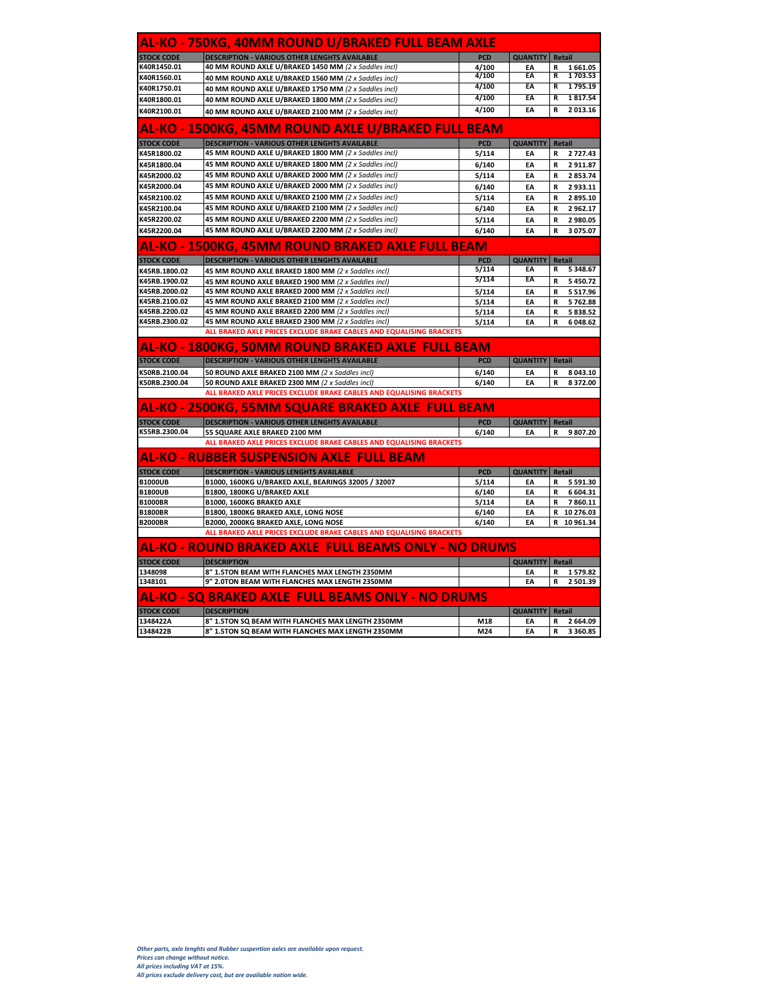|                                                      | AL-KO - 750KG, 40MM ROUND U/BRAKED FULL BEAM AXLE                                                      |            |                          |                                            |
|------------------------------------------------------|--------------------------------------------------------------------------------------------------------|------------|--------------------------|--------------------------------------------|
| <b>STOCK CODE</b>                                    | <b>DESCRIPTION - VARIOUS OTHER LENGHTS AVAILABLE</b>                                                   | <b>PCD</b> | <b>QUANTITY</b>          | Retail                                     |
| K40R1450.01                                          | 40 MM ROUND AXLE U/BRAKED 1450 MM (2 x Saddles incl)                                                   | 4/100      | EA                       | R<br>1661.05                               |
| K40R1560.01                                          | 40 MM ROUND AXLE U/BRAKED 1560 MM (2 x Saddles incl)                                                   | 4/100      | EA                       | 1703.53<br>R                               |
| K40R1750.01                                          | 40 MM ROUND AXLE U/BRAKED 1750 MM (2 x Saddles incl)                                                   | 4/100      | EA                       | 1 7 9 5 . 1 9<br>R                         |
| K40R1800.01                                          | 40 MM ROUND AXLE U/BRAKED 1800 MM (2 x Saddles incl)                                                   | 4/100      | EA                       | 1817.54<br>R                               |
| K40R2100.01                                          | 40 MM ROUND AXLE U/BRAKED 2100 MM (2 x Saddles incl)                                                   | 4/100      | EA                       | R<br>2 013.16                              |
|                                                      | <u>AL-KO - 1500KG, 45MM ROUND AXLE U/BRAKED FULL BEAM</u>                                              |            |                          |                                            |
| <b>STOCK CODE</b>                                    | <b>DESCRIPTION - VARIOUS OTHER LENGHTS AVAILABLE</b>                                                   | <b>PCD</b> | <b>QUANTITY</b>          | Retail                                     |
| K45R1800.02                                          | 45 MM ROUND AXLE U/BRAKED 1800 MM (2 x Saddles incl)                                                   | 5/114      | EA                       | 2 727.43<br>R                              |
| K45R1800.04                                          | 45 MM ROUND AXLE U/BRAKED 1800 MM (2 x Saddles incl)                                                   | 6/140      | EA                       | 2911.87<br>R                               |
| K45R2000.02                                          | 45 MM ROUND AXLE U/BRAKED 2000 MM (2 x Saddles incl)                                                   | 5/114      | EA                       | 2 853.74<br>R                              |
| K45R2000.04                                          | 45 MM ROUND AXLE U/BRAKED 2000 MM (2 x Saddles incl)                                                   | 6/140      | EA                       | $\mathbf R$<br>2 933.11                    |
| K45R2100.02                                          | 45 MM ROUND AXLE U/BRAKED 2100 MM (2 x Saddles incl)                                                   | 5/114      | EA                       | 2 895.10<br>R                              |
| K45R2100.04                                          | 45 MM ROUND AXLE U/BRAKED 2100 MM (2 x Saddles incl)                                                   | 6/140      | EA                       | 2 962.17                                   |
|                                                      |                                                                                                        |            |                          | R                                          |
| K45R2200.02                                          | 45 MM ROUND AXLE U/BRAKED 2200 MM (2 x Saddles incl)                                                   | 5/114      | EA                       | R<br>2 980.05                              |
| K45R2200.04                                          | 45 MM ROUND AXLE U/BRAKED 2200 MM (2 x Saddles incl)                                                   | 6/140      | EA                       | R<br>3 075.07                              |
|                                                      | AL-KO - 1500KG, 45MM ROUND BRAKED AXLE FULL BEAM                                                       |            |                          |                                            |
| <b>STOCK CODE</b>                                    | <b>DESCRIPTION - VARIOUS OTHER LENGHTS AVAILABLE</b>                                                   | PCD        | QUANTITY Retail          |                                            |
| K45RB.1800.02                                        | 45 MM ROUND AXLE BRAKED 1800 MM (2 x Saddles incl)                                                     | 5/114      | EA                       | 5 348.67<br>R                              |
| K45RB.1900.02                                        | 45 MM ROUND AXLE BRAKED 1900 MM (2 x Saddles incl)                                                     | 5/114      | EA                       | $\mathbf R$<br>5 450.72                    |
| K45RB.2000.02                                        | 45 MM ROUND AXLE BRAKED 2000 MM (2 x Saddles incl)                                                     | 5/114      | EA                       | 5 5 1 7 . 9 6<br>R                         |
| K45RB.2100.02                                        | 45 MM ROUND AXLE BRAKED 2100 MM (2 x Saddles incl)                                                     | 5/114      | EA                       | 5762.88<br>R                               |
| K45RB.2200.02                                        | 45 MM ROUND AXLE BRAKED 2200 MM (2 x Saddles incl)                                                     | 5/114      | EA                       | ${\bf R}$<br>5 838.52                      |
| K45RB.2300.02                                        | 45 MM ROUND AXLE BRAKED 2300 MM (2 x Saddles incl)                                                     | 5/114      | EA                       | $\mathbf R$<br>6 048.62                    |
|                                                      | ALL BRAKED AXLE PRICES EXCLUDE BRAKE CABLES AND EQUALISING BRACKETS                                    |            |                          |                                            |
|                                                      | AL-KO - 1800KG, 50MM ROUND BRAKED AXLE FULL BEAM                                                       |            |                          |                                            |
| <b>STOCK CODE</b>                                    | <b>DESCRIPTION - VARIOUS OTHER LENGHTS AVAILABLE</b>                                                   | <b>PCD</b> | <b>QUANTITY   Retail</b> |                                            |
| K50RB.2100.04                                        | 50 ROUND AXLE BRAKED 2100 MM (2 x Saddles incl)                                                        | 6/140      | EA                       | 8 043.10<br>R                              |
| K50RB.2300.04                                        | 50 ROUND AXLE BRAKED 2300 MM (2 x Saddles incl)                                                        | 6/140      | EA                       | 8372.00<br>R                               |
|                                                      | ALL BRAKED AXLE PRICES EXCLUDE BRAKE CABLES AND EQUALISING BRACKETS                                    |            |                          |                                            |
|                                                      | AL-KO - 2500KG, 55MM SQUARE BRAKED AXLE FULL BEAM                                                      |            |                          |                                            |
| <b>STOCK CODE</b>                                    | <b>DESCRIPTION - VARIOUS OTHER LENGHTS AVAILABLE</b>                                                   | <b>PCD</b> | <b>QUANTITY</b> Retail   |                                            |
| K55RB.2300.04                                        | 55 SQUARE AXLE BRAKED 2100 MM                                                                          | 6/140      | EA                       | R<br>9 807.20                              |
|                                                      | ALL BRAKED AXLE PRICES EXCLUDE BRAKE CABLES AND EQUALISING BRACKETS                                    |            |                          |                                            |
|                                                      | AL-KO - RUBBER SUSPENSION AXLE FULL BEAM                                                               |            |                          |                                            |
| <b>STOCK CODE</b>                                    | <b>DESCRIPTION - VARIOUS LENGHTS AVAILABLE</b>                                                         | <b>PCD</b> | QUANTITY Retail          |                                            |
| <b>B1000UB</b>                                       | B1000, 1600KG U/BRAKED AXLE, BEARINGS 32005 / 32007                                                    | 5/114      | EA                       | 5 5 9 1.30<br>R                            |
| <b>B1800UB</b>                                       | B1800, 1800KG U/BRAKED AXLE                                                                            | 6/140      | EA                       | 6 604.31<br>R                              |
| <b>B1000BR</b>                                       | B1000, 1600KG BRAKED AXLE                                                                              | 5/114      | EA                       | R<br>7860.11                               |
| <b>B1800BR</b>                                       | B1800, 1800KG BRAKED AXLE, LONG NOSE                                                                   | 6/140      | EA                       | R 10 276.03                                |
| <b>B2000BR</b>                                       | B2000, 2000KG BRAKED AXLE, LONG NOSE                                                                   | 6/140      | EA                       | R 10 961.34                                |
|                                                      | ALL BRAKED AXLE PRICES EXCLUDE BRAKE CABLES AND EQUALISING BRACKETS                                    |            |                          |                                            |
|                                                      | AL-KO - ROUND BRAKED AXLE FULL BEAMS ONLY - NO DRUMS                                                   |            |                          |                                            |
| <b>STOCK CODE</b>                                    | <b>DESCRIPTION</b>                                                                                     |            | <b>QUANTITY</b>          | Retail                                     |
| 1348098                                              | 8" 1.5TON BEAM WITH FLANCHES MAX LENGTH 2350MM                                                         |            | EA                       | 1579.82<br>R                               |
|                                                      | 9" 2.0TON BEAM WITH FLANCHES MAX LENGTH 2350MM                                                         |            | EA                       | R<br>2 501.39                              |
|                                                      |                                                                                                        |            |                          |                                            |
|                                                      |                                                                                                        |            |                          |                                            |
|                                                      | AL-KO - SQ BRAKED AXLE FULL BEAMS ONLY - NO DRUMS                                                      |            |                          |                                            |
|                                                      | <b>DESCRIPTION</b>                                                                                     |            | <b>QUANTITY</b>          | Retail                                     |
| 1348101<br><b>STOCK CODE</b><br>1348422A<br>1348422B | 8" 1.5TON SQ BEAM WITH FLANCHES MAX LENGTH 2350MM<br>8" 1.5TON SO BEAM WITH FLANCHES MAX LENGTH 2350MM | M18<br>M24 | EA<br>EA                 | R<br>2 664.09<br>$\mathbf R$<br>3 3 6 0.85 |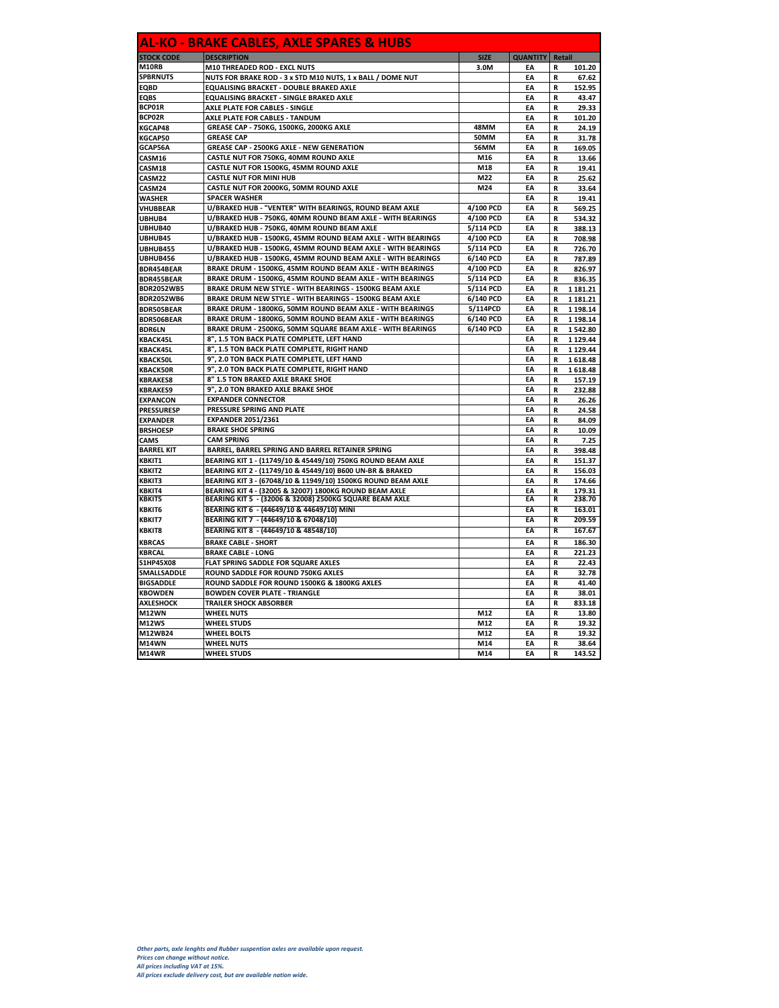| <b>DESCRIPTION</b><br><b>STOCK CODE</b><br><b>SIZE</b><br><b>QUANTITY</b><br>Retail<br>M10 THREADED ROD - EXCL NUTS<br>3.0M<br>EA<br>R<br>NUTS FOR BRAKE ROD - 3 x STD M10 NUTS, 1 x BALL / DOME NUT<br>EA<br>R<br>EQUALISING BRACKET - DOUBLE BRAKED AXLE<br>EA<br>R<br><b>EQUALISING BRACKET - SINGLE BRAKED AXLE</b><br>EA<br>R<br>AXLE PLATE FOR CABLES - SINGLE<br>EA<br>R<br><b>AXLE PLATE FOR CABLES - TANDUM</b><br>EA<br>R<br>GREASE CAP - 750KG, 1500KG, 2000KG AXLE<br>48MM<br>EA<br>R<br><b>GREASE CAP</b><br>50MM<br>EA<br>R<br><b>GREASE CAP - 2500KG AXLE - NEW GENERATION</b><br><b>56MM</b><br>EA<br>R<br>CASTLE NUT FOR 750KG, 40MM ROUND AXLE<br>M16<br>EA<br>R<br>CASTLE NUT FOR 1500KG, 45MM ROUND AXLE<br>M18<br>EA<br>R<br><b>CASTLE NUT FOR MINI HUB</b><br>M <sub>22</sub><br>FΔ<br>CASM22<br>R<br>25.62<br>CASTLE NUT FOR 2000KG, 50MM ROUND AXLE<br>EA<br>CASM24<br>M24<br>R<br>33.64<br><b>WASHER</b><br><b>SPACER WASHER</b><br>EA<br>R<br>19.41<br>U/BRAKED HUB - "VENTER" WITH BEARINGS, ROUND BEAM AXLE<br>VHUBBEAR<br>4/100 PCD<br>EA<br>569.25<br>R<br>UBHUB4<br>U/BRAKED HUB - 750KG, 40MM ROUND BEAM AXLE - WITH BEARINGS<br>4/100 PCD<br>EA<br>R<br>534.32<br>U/BRAKED HUB - 750KG, 40MM ROUND BEAM AXLE<br>UBHUB40<br>5/114 PCD<br>EA<br>R<br>388.13<br>UBHUB45<br>U/BRAKED HUB - 1500KG, 45MM ROUND BEAM AXLE - WITH BEARINGS<br>4/100 PCD<br>EA<br>R<br>708.98<br>U/BRAKED HUB - 1500KG, 45MM ROUND BEAM AXLE - WITH BEARINGS<br>5/114 PCD<br>EA<br>R<br>UBHUB455<br>726.70<br>UBHUB456<br>U/BRAKED HUB - 1500KG, 45MM ROUND BEAM AXLE - WITH BEARINGS<br>6/140 PCD<br>EA<br>R<br>787.89<br>BRAKE DRUM - 1500KG, 45MM ROUND BEAM AXLE - WITH BEARINGS<br>4/100 PCD<br>EA<br>BDR454BEAR<br>R<br>826.97<br>BRAKE DRUM - 1500KG, 45MM ROUND BEAM AXLE - WITH BEARINGS<br>5/114 PCD<br>EA<br><b>BDR455BEAR</b><br>R<br>836.35<br>BRAKE DRUM NEW STYLE - WITH BEARINGS - 1500KG BEAM AXLE<br>EA<br><b>BDR2052WB5</b><br>5/114 PCD<br>R<br>1 181.21<br><b>BDR2052WB6</b><br>BRAKE DRUM NEW STYLE - WITH BEARINGS - 1500KG BEAM AXLE<br>6/140 PCD<br>EA<br>R<br>1 181.21<br>BDR505BEAR<br>BRAKE DRUM - 1800KG, 50MM ROUND BEAM AXLE - WITH BEARINGS<br>5/114PCD<br>EA<br>1 198.14<br>R<br>BRAKE DRUM - 1800KG, 50MM ROUND BEAM AXLE - WITH BEARINGS<br>EA<br>BDR506BEAR<br>6/140 PCD<br>R<br>1 198.14<br>BRAKE DRUM - 2500KG, 50MM SQUARE BEAM AXLE - WITH BEARINGS<br>6/140 PCD<br>EA<br><b>BDR6LN</b><br>1542.80<br>R<br>8", 1.5 TON BACK PLATE COMPLETE, LEFT HAND<br>EA<br>1 129.44<br><b>KBACK45L</b><br>R<br>8", 1.5 TON BACK PLATE COMPLETE, RIGHT HAND<br>EA<br>KBACK45L<br>R<br>1 129.44<br>EA<br>KBACK50L<br>9", 2.0 TON BACK PLATE COMPLETE, LEFT HAND<br>R<br>1618.48<br>9", 2.0 TON BACK PLATE COMPLETE, RIGHT HAND<br>EA<br><b>KBACK50R</b><br>R<br>1618.48<br>8" 1.5 TON BRAKED AXLE BRAKE SHOE<br><b>KBRAKES8</b><br>EA<br>R<br>157.19<br>9", 2.0 TON BRAKED AXLE BRAKE SHOE<br>EA<br><b>KBRAKES9</b><br>R<br>232.88<br>EA<br><b>EXPANDER CONNECTOR</b><br><b>EXPANCON</b><br>R<br>26.26<br>PRESSURE SPRING AND PLATE<br>EA<br>R<br>24.58<br><b>PRESSURESP</b><br><b>EXPANDER 2051/2361</b><br>EA<br><b>EXPANDER</b><br>R<br>84.09<br><b>BRSHOESP</b><br><b>BRAKE SHOE SPRING</b><br>EA<br>R<br>10.09<br><b>CAM SPRING</b><br>EA<br>7.25<br>R<br><b>BARREL KIT</b><br>BARREL, BARREL SPRING AND BARREL RETAINER SPRING<br>398.48<br>EA<br>R<br><b>KBKIT1</b><br>BEARING KIT 1 - (11749/10 & 45449/10) 750KG ROUND BEAM AXLE<br>EA<br>151.37<br>R<br>KBKIT2<br>BEARING KIT 2 - (11749/10 & 45449/10) B600 UN-BR & BRAKED<br>EA<br>R<br>156.03<br>BEARING KIT 3 - (67048/10 & 11949/10) 1500KG ROUND BEAM AXLE<br>EA<br>R<br>KBKIT4<br>BEARING KIT 4 - (32005 & 32007) 1800KG ROUND BEAM AXLE<br>EA<br>R<br>179.31<br><b>KBKIT5</b><br>BEARING KIT 5 - (32006 & 32008) 2500KG SQUARE BEAM AXLE<br>238.70<br>EA<br>R<br><b>KBKIT6</b><br>BEARING KIT 6 - (44649/10 & 44649/10) MINI<br>EA<br>R<br>163.01<br><b>KBKIT7</b><br>BEARING KIT 7 - (44649/10 & 67048/10)<br>EA<br>R<br>209.59<br>KBKIT8<br>BEARING KIT 8 - (44649/10 & 48548/10)<br>EA<br>R<br>167.67<br><b>BRAKE CABLE - SHORT</b><br>EA<br>R<br><b>BRAKE CABLE - LONG</b><br>EA<br>R<br>S1HP45X08<br>FLAT SPRING SADDLE FOR SQUARE AXLES<br>EA<br>R<br><b>SMALLSADDLE</b><br><b>ROUND SADDLE FOR ROUND 750KG AXLES</b><br>EA<br>R<br><b>BIGSADDLE</b><br>ROUND SADDLE FOR ROUND 1500KG & 1800KG AXLES<br>EA<br>R<br><b>BOWDEN COVER PLATE - TRIANGLE</b><br><b>KBOWDEN</b><br>EA<br>R<br><b>AXLESHOCK</b><br><b>TRAILER SHOCK ABSORBER</b><br>EA<br>R<br>833.18<br>R<br><b>WHEEL NUTS</b><br>M12<br>EA<br>13.80<br><b>M12WS</b><br><b>WHEEL STUDS</b><br>M12<br>EA<br>R<br>19.32<br>M12WB24<br>R<br><b>WHEEL BOLTS</b><br>M12<br>EA<br>19.32<br><b>M14WN</b><br><b>WHEEL NUTS</b><br>M14<br>EA<br>R<br>38.64 |                 | <b>AL-KO - BRAKE CABLES, AXLE SPARES &amp; HUBS</b> |     |    |             |
|------------------------------------------------------------------------------------------------------------------------------------------------------------------------------------------------------------------------------------------------------------------------------------------------------------------------------------------------------------------------------------------------------------------------------------------------------------------------------------------------------------------------------------------------------------------------------------------------------------------------------------------------------------------------------------------------------------------------------------------------------------------------------------------------------------------------------------------------------------------------------------------------------------------------------------------------------------------------------------------------------------------------------------------------------------------------------------------------------------------------------------------------------------------------------------------------------------------------------------------------------------------------------------------------------------------------------------------------------------------------------------------------------------------------------------------------------------------------------------------------------------------------------------------------------------------------------------------------------------------------------------------------------------------------------------------------------------------------------------------------------------------------------------------------------------------------------------------------------------------------------------------------------------------------------------------------------------------------------------------------------------------------------------------------------------------------------------------------------------------------------------------------------------------------------------------------------------------------------------------------------------------------------------------------------------------------------------------------------------------------------------------------------------------------------------------------------------------------------------------------------------------------------------------------------------------------------------------------------------------------------------------------------------------------------------------------------------------------------------------------------------------------------------------------------------------------------------------------------------------------------------------------------------------------------------------------------------------------------------------------------------------------------------------------------------------------------------------------------------------------------------------------------------------------------------------------------------------------------------------------------------------------------------------------------------------------------------------------------------------------------------------------------------------------------------------------------------------------------------------------------------------------------------------------------------------------------------------------------------------------------------------------------------------------------------------------------------------------------------------------------------------------------------------------------------------------------------------------------------------------------------------------------------------------------------------------------------------------------------------------------------------------------------------------------------------------------------------------------------------------------------------------------------------------------------------------------------------------------------------------------------------------------------------------------------------------------------------------------------------------------------------------------------------------------------------------------------------------------------------------------------------------------------------------------------------------------------------------------------------------------------------------------------------------------------------------------------------------------------------------------------------------------------------------------------------------|-----------------|-----------------------------------------------------|-----|----|-------------|
|                                                                                                                                                                                                                                                                                                                                                                                                                                                                                                                                                                                                                                                                                                                                                                                                                                                                                                                                                                                                                                                                                                                                                                                                                                                                                                                                                                                                                                                                                                                                                                                                                                                                                                                                                                                                                                                                                                                                                                                                                                                                                                                                                                                                                                                                                                                                                                                                                                                                                                                                                                                                                                                                                                                                                                                                                                                                                                                                                                                                                                                                                                                                                                                                                                                                                                                                                                                                                                                                                                                                                                                                                                                                                                                                                                                                                                                                                                                                                                                                                                                                                                                                                                                                                                                                                                                                                                                                                                                                                                                                                                                                                                                                                                                                                                                                                        |                 |                                                     |     |    |             |
|                                                                                                                                                                                                                                                                                                                                                                                                                                                                                                                                                                                                                                                                                                                                                                                                                                                                                                                                                                                                                                                                                                                                                                                                                                                                                                                                                                                                                                                                                                                                                                                                                                                                                                                                                                                                                                                                                                                                                                                                                                                                                                                                                                                                                                                                                                                                                                                                                                                                                                                                                                                                                                                                                                                                                                                                                                                                                                                                                                                                                                                                                                                                                                                                                                                                                                                                                                                                                                                                                                                                                                                                                                                                                                                                                                                                                                                                                                                                                                                                                                                                                                                                                                                                                                                                                                                                                                                                                                                                                                                                                                                                                                                                                                                                                                                                                        | M10RB           |                                                     |     |    | 101.20      |
|                                                                                                                                                                                                                                                                                                                                                                                                                                                                                                                                                                                                                                                                                                                                                                                                                                                                                                                                                                                                                                                                                                                                                                                                                                                                                                                                                                                                                                                                                                                                                                                                                                                                                                                                                                                                                                                                                                                                                                                                                                                                                                                                                                                                                                                                                                                                                                                                                                                                                                                                                                                                                                                                                                                                                                                                                                                                                                                                                                                                                                                                                                                                                                                                                                                                                                                                                                                                                                                                                                                                                                                                                                                                                                                                                                                                                                                                                                                                                                                                                                                                                                                                                                                                                                                                                                                                                                                                                                                                                                                                                                                                                                                                                                                                                                                                                        | <b>SPBRNUTS</b> |                                                     |     |    | 67.62       |
|                                                                                                                                                                                                                                                                                                                                                                                                                                                                                                                                                                                                                                                                                                                                                                                                                                                                                                                                                                                                                                                                                                                                                                                                                                                                                                                                                                                                                                                                                                                                                                                                                                                                                                                                                                                                                                                                                                                                                                                                                                                                                                                                                                                                                                                                                                                                                                                                                                                                                                                                                                                                                                                                                                                                                                                                                                                                                                                                                                                                                                                                                                                                                                                                                                                                                                                                                                                                                                                                                                                                                                                                                                                                                                                                                                                                                                                                                                                                                                                                                                                                                                                                                                                                                                                                                                                                                                                                                                                                                                                                                                                                                                                                                                                                                                                                                        | <b>EQBD</b>     |                                                     |     |    | 152.95      |
|                                                                                                                                                                                                                                                                                                                                                                                                                                                                                                                                                                                                                                                                                                                                                                                                                                                                                                                                                                                                                                                                                                                                                                                                                                                                                                                                                                                                                                                                                                                                                                                                                                                                                                                                                                                                                                                                                                                                                                                                                                                                                                                                                                                                                                                                                                                                                                                                                                                                                                                                                                                                                                                                                                                                                                                                                                                                                                                                                                                                                                                                                                                                                                                                                                                                                                                                                                                                                                                                                                                                                                                                                                                                                                                                                                                                                                                                                                                                                                                                                                                                                                                                                                                                                                                                                                                                                                                                                                                                                                                                                                                                                                                                                                                                                                                                                        | <b>EQBS</b>     |                                                     |     |    | 43.47       |
|                                                                                                                                                                                                                                                                                                                                                                                                                                                                                                                                                                                                                                                                                                                                                                                                                                                                                                                                                                                                                                                                                                                                                                                                                                                                                                                                                                                                                                                                                                                                                                                                                                                                                                                                                                                                                                                                                                                                                                                                                                                                                                                                                                                                                                                                                                                                                                                                                                                                                                                                                                                                                                                                                                                                                                                                                                                                                                                                                                                                                                                                                                                                                                                                                                                                                                                                                                                                                                                                                                                                                                                                                                                                                                                                                                                                                                                                                                                                                                                                                                                                                                                                                                                                                                                                                                                                                                                                                                                                                                                                                                                                                                                                                                                                                                                                                        | BCP01R          |                                                     |     |    | 29.33       |
|                                                                                                                                                                                                                                                                                                                                                                                                                                                                                                                                                                                                                                                                                                                                                                                                                                                                                                                                                                                                                                                                                                                                                                                                                                                                                                                                                                                                                                                                                                                                                                                                                                                                                                                                                                                                                                                                                                                                                                                                                                                                                                                                                                                                                                                                                                                                                                                                                                                                                                                                                                                                                                                                                                                                                                                                                                                                                                                                                                                                                                                                                                                                                                                                                                                                                                                                                                                                                                                                                                                                                                                                                                                                                                                                                                                                                                                                                                                                                                                                                                                                                                                                                                                                                                                                                                                                                                                                                                                                                                                                                                                                                                                                                                                                                                                                                        | BCP02R          |                                                     |     |    | 101.20      |
|                                                                                                                                                                                                                                                                                                                                                                                                                                                                                                                                                                                                                                                                                                                                                                                                                                                                                                                                                                                                                                                                                                                                                                                                                                                                                                                                                                                                                                                                                                                                                                                                                                                                                                                                                                                                                                                                                                                                                                                                                                                                                                                                                                                                                                                                                                                                                                                                                                                                                                                                                                                                                                                                                                                                                                                                                                                                                                                                                                                                                                                                                                                                                                                                                                                                                                                                                                                                                                                                                                                                                                                                                                                                                                                                                                                                                                                                                                                                                                                                                                                                                                                                                                                                                                                                                                                                                                                                                                                                                                                                                                                                                                                                                                                                                                                                                        | KGCAP48         |                                                     |     |    | 24.19       |
|                                                                                                                                                                                                                                                                                                                                                                                                                                                                                                                                                                                                                                                                                                                                                                                                                                                                                                                                                                                                                                                                                                                                                                                                                                                                                                                                                                                                                                                                                                                                                                                                                                                                                                                                                                                                                                                                                                                                                                                                                                                                                                                                                                                                                                                                                                                                                                                                                                                                                                                                                                                                                                                                                                                                                                                                                                                                                                                                                                                                                                                                                                                                                                                                                                                                                                                                                                                                                                                                                                                                                                                                                                                                                                                                                                                                                                                                                                                                                                                                                                                                                                                                                                                                                                                                                                                                                                                                                                                                                                                                                                                                                                                                                                                                                                                                                        | KGCAP50         |                                                     |     |    | 31.78       |
|                                                                                                                                                                                                                                                                                                                                                                                                                                                                                                                                                                                                                                                                                                                                                                                                                                                                                                                                                                                                                                                                                                                                                                                                                                                                                                                                                                                                                                                                                                                                                                                                                                                                                                                                                                                                                                                                                                                                                                                                                                                                                                                                                                                                                                                                                                                                                                                                                                                                                                                                                                                                                                                                                                                                                                                                                                                                                                                                                                                                                                                                                                                                                                                                                                                                                                                                                                                                                                                                                                                                                                                                                                                                                                                                                                                                                                                                                                                                                                                                                                                                                                                                                                                                                                                                                                                                                                                                                                                                                                                                                                                                                                                                                                                                                                                                                        | GCAP56A         |                                                     |     |    | 169.05      |
|                                                                                                                                                                                                                                                                                                                                                                                                                                                                                                                                                                                                                                                                                                                                                                                                                                                                                                                                                                                                                                                                                                                                                                                                                                                                                                                                                                                                                                                                                                                                                                                                                                                                                                                                                                                                                                                                                                                                                                                                                                                                                                                                                                                                                                                                                                                                                                                                                                                                                                                                                                                                                                                                                                                                                                                                                                                                                                                                                                                                                                                                                                                                                                                                                                                                                                                                                                                                                                                                                                                                                                                                                                                                                                                                                                                                                                                                                                                                                                                                                                                                                                                                                                                                                                                                                                                                                                                                                                                                                                                                                                                                                                                                                                                                                                                                                        | CASM16          |                                                     |     |    | 13.66       |
|                                                                                                                                                                                                                                                                                                                                                                                                                                                                                                                                                                                                                                                                                                                                                                                                                                                                                                                                                                                                                                                                                                                                                                                                                                                                                                                                                                                                                                                                                                                                                                                                                                                                                                                                                                                                                                                                                                                                                                                                                                                                                                                                                                                                                                                                                                                                                                                                                                                                                                                                                                                                                                                                                                                                                                                                                                                                                                                                                                                                                                                                                                                                                                                                                                                                                                                                                                                                                                                                                                                                                                                                                                                                                                                                                                                                                                                                                                                                                                                                                                                                                                                                                                                                                                                                                                                                                                                                                                                                                                                                                                                                                                                                                                                                                                                                                        | CASM18          |                                                     |     |    | 19.41       |
|                                                                                                                                                                                                                                                                                                                                                                                                                                                                                                                                                                                                                                                                                                                                                                                                                                                                                                                                                                                                                                                                                                                                                                                                                                                                                                                                                                                                                                                                                                                                                                                                                                                                                                                                                                                                                                                                                                                                                                                                                                                                                                                                                                                                                                                                                                                                                                                                                                                                                                                                                                                                                                                                                                                                                                                                                                                                                                                                                                                                                                                                                                                                                                                                                                                                                                                                                                                                                                                                                                                                                                                                                                                                                                                                                                                                                                                                                                                                                                                                                                                                                                                                                                                                                                                                                                                                                                                                                                                                                                                                                                                                                                                                                                                                                                                                                        |                 |                                                     |     |    |             |
|                                                                                                                                                                                                                                                                                                                                                                                                                                                                                                                                                                                                                                                                                                                                                                                                                                                                                                                                                                                                                                                                                                                                                                                                                                                                                                                                                                                                                                                                                                                                                                                                                                                                                                                                                                                                                                                                                                                                                                                                                                                                                                                                                                                                                                                                                                                                                                                                                                                                                                                                                                                                                                                                                                                                                                                                                                                                                                                                                                                                                                                                                                                                                                                                                                                                                                                                                                                                                                                                                                                                                                                                                                                                                                                                                                                                                                                                                                                                                                                                                                                                                                                                                                                                                                                                                                                                                                                                                                                                                                                                                                                                                                                                                                                                                                                                                        |                 |                                                     |     |    |             |
|                                                                                                                                                                                                                                                                                                                                                                                                                                                                                                                                                                                                                                                                                                                                                                                                                                                                                                                                                                                                                                                                                                                                                                                                                                                                                                                                                                                                                                                                                                                                                                                                                                                                                                                                                                                                                                                                                                                                                                                                                                                                                                                                                                                                                                                                                                                                                                                                                                                                                                                                                                                                                                                                                                                                                                                                                                                                                                                                                                                                                                                                                                                                                                                                                                                                                                                                                                                                                                                                                                                                                                                                                                                                                                                                                                                                                                                                                                                                                                                                                                                                                                                                                                                                                                                                                                                                                                                                                                                                                                                                                                                                                                                                                                                                                                                                                        |                 |                                                     |     |    |             |
|                                                                                                                                                                                                                                                                                                                                                                                                                                                                                                                                                                                                                                                                                                                                                                                                                                                                                                                                                                                                                                                                                                                                                                                                                                                                                                                                                                                                                                                                                                                                                                                                                                                                                                                                                                                                                                                                                                                                                                                                                                                                                                                                                                                                                                                                                                                                                                                                                                                                                                                                                                                                                                                                                                                                                                                                                                                                                                                                                                                                                                                                                                                                                                                                                                                                                                                                                                                                                                                                                                                                                                                                                                                                                                                                                                                                                                                                                                                                                                                                                                                                                                                                                                                                                                                                                                                                                                                                                                                                                                                                                                                                                                                                                                                                                                                                                        |                 |                                                     |     |    |             |
|                                                                                                                                                                                                                                                                                                                                                                                                                                                                                                                                                                                                                                                                                                                                                                                                                                                                                                                                                                                                                                                                                                                                                                                                                                                                                                                                                                                                                                                                                                                                                                                                                                                                                                                                                                                                                                                                                                                                                                                                                                                                                                                                                                                                                                                                                                                                                                                                                                                                                                                                                                                                                                                                                                                                                                                                                                                                                                                                                                                                                                                                                                                                                                                                                                                                                                                                                                                                                                                                                                                                                                                                                                                                                                                                                                                                                                                                                                                                                                                                                                                                                                                                                                                                                                                                                                                                                                                                                                                                                                                                                                                                                                                                                                                                                                                                                        |                 |                                                     |     |    |             |
|                                                                                                                                                                                                                                                                                                                                                                                                                                                                                                                                                                                                                                                                                                                                                                                                                                                                                                                                                                                                                                                                                                                                                                                                                                                                                                                                                                                                                                                                                                                                                                                                                                                                                                                                                                                                                                                                                                                                                                                                                                                                                                                                                                                                                                                                                                                                                                                                                                                                                                                                                                                                                                                                                                                                                                                                                                                                                                                                                                                                                                                                                                                                                                                                                                                                                                                                                                                                                                                                                                                                                                                                                                                                                                                                                                                                                                                                                                                                                                                                                                                                                                                                                                                                                                                                                                                                                                                                                                                                                                                                                                                                                                                                                                                                                                                                                        |                 |                                                     |     |    |             |
|                                                                                                                                                                                                                                                                                                                                                                                                                                                                                                                                                                                                                                                                                                                                                                                                                                                                                                                                                                                                                                                                                                                                                                                                                                                                                                                                                                                                                                                                                                                                                                                                                                                                                                                                                                                                                                                                                                                                                                                                                                                                                                                                                                                                                                                                                                                                                                                                                                                                                                                                                                                                                                                                                                                                                                                                                                                                                                                                                                                                                                                                                                                                                                                                                                                                                                                                                                                                                                                                                                                                                                                                                                                                                                                                                                                                                                                                                                                                                                                                                                                                                                                                                                                                                                                                                                                                                                                                                                                                                                                                                                                                                                                                                                                                                                                                                        |                 |                                                     |     |    |             |
|                                                                                                                                                                                                                                                                                                                                                                                                                                                                                                                                                                                                                                                                                                                                                                                                                                                                                                                                                                                                                                                                                                                                                                                                                                                                                                                                                                                                                                                                                                                                                                                                                                                                                                                                                                                                                                                                                                                                                                                                                                                                                                                                                                                                                                                                                                                                                                                                                                                                                                                                                                                                                                                                                                                                                                                                                                                                                                                                                                                                                                                                                                                                                                                                                                                                                                                                                                                                                                                                                                                                                                                                                                                                                                                                                                                                                                                                                                                                                                                                                                                                                                                                                                                                                                                                                                                                                                                                                                                                                                                                                                                                                                                                                                                                                                                                                        |                 |                                                     |     |    |             |
|                                                                                                                                                                                                                                                                                                                                                                                                                                                                                                                                                                                                                                                                                                                                                                                                                                                                                                                                                                                                                                                                                                                                                                                                                                                                                                                                                                                                                                                                                                                                                                                                                                                                                                                                                                                                                                                                                                                                                                                                                                                                                                                                                                                                                                                                                                                                                                                                                                                                                                                                                                                                                                                                                                                                                                                                                                                                                                                                                                                                                                                                                                                                                                                                                                                                                                                                                                                                                                                                                                                                                                                                                                                                                                                                                                                                                                                                                                                                                                                                                                                                                                                                                                                                                                                                                                                                                                                                                                                                                                                                                                                                                                                                                                                                                                                                                        |                 |                                                     |     |    |             |
|                                                                                                                                                                                                                                                                                                                                                                                                                                                                                                                                                                                                                                                                                                                                                                                                                                                                                                                                                                                                                                                                                                                                                                                                                                                                                                                                                                                                                                                                                                                                                                                                                                                                                                                                                                                                                                                                                                                                                                                                                                                                                                                                                                                                                                                                                                                                                                                                                                                                                                                                                                                                                                                                                                                                                                                                                                                                                                                                                                                                                                                                                                                                                                                                                                                                                                                                                                                                                                                                                                                                                                                                                                                                                                                                                                                                                                                                                                                                                                                                                                                                                                                                                                                                                                                                                                                                                                                                                                                                                                                                                                                                                                                                                                                                                                                                                        |                 |                                                     |     |    |             |
|                                                                                                                                                                                                                                                                                                                                                                                                                                                                                                                                                                                                                                                                                                                                                                                                                                                                                                                                                                                                                                                                                                                                                                                                                                                                                                                                                                                                                                                                                                                                                                                                                                                                                                                                                                                                                                                                                                                                                                                                                                                                                                                                                                                                                                                                                                                                                                                                                                                                                                                                                                                                                                                                                                                                                                                                                                                                                                                                                                                                                                                                                                                                                                                                                                                                                                                                                                                                                                                                                                                                                                                                                                                                                                                                                                                                                                                                                                                                                                                                                                                                                                                                                                                                                                                                                                                                                                                                                                                                                                                                                                                                                                                                                                                                                                                                                        |                 |                                                     |     |    |             |
|                                                                                                                                                                                                                                                                                                                                                                                                                                                                                                                                                                                                                                                                                                                                                                                                                                                                                                                                                                                                                                                                                                                                                                                                                                                                                                                                                                                                                                                                                                                                                                                                                                                                                                                                                                                                                                                                                                                                                                                                                                                                                                                                                                                                                                                                                                                                                                                                                                                                                                                                                                                                                                                                                                                                                                                                                                                                                                                                                                                                                                                                                                                                                                                                                                                                                                                                                                                                                                                                                                                                                                                                                                                                                                                                                                                                                                                                                                                                                                                                                                                                                                                                                                                                                                                                                                                                                                                                                                                                                                                                                                                                                                                                                                                                                                                                                        |                 |                                                     |     |    |             |
|                                                                                                                                                                                                                                                                                                                                                                                                                                                                                                                                                                                                                                                                                                                                                                                                                                                                                                                                                                                                                                                                                                                                                                                                                                                                                                                                                                                                                                                                                                                                                                                                                                                                                                                                                                                                                                                                                                                                                                                                                                                                                                                                                                                                                                                                                                                                                                                                                                                                                                                                                                                                                                                                                                                                                                                                                                                                                                                                                                                                                                                                                                                                                                                                                                                                                                                                                                                                                                                                                                                                                                                                                                                                                                                                                                                                                                                                                                                                                                                                                                                                                                                                                                                                                                                                                                                                                                                                                                                                                                                                                                                                                                                                                                                                                                                                                        |                 |                                                     |     |    |             |
|                                                                                                                                                                                                                                                                                                                                                                                                                                                                                                                                                                                                                                                                                                                                                                                                                                                                                                                                                                                                                                                                                                                                                                                                                                                                                                                                                                                                                                                                                                                                                                                                                                                                                                                                                                                                                                                                                                                                                                                                                                                                                                                                                                                                                                                                                                                                                                                                                                                                                                                                                                                                                                                                                                                                                                                                                                                                                                                                                                                                                                                                                                                                                                                                                                                                                                                                                                                                                                                                                                                                                                                                                                                                                                                                                                                                                                                                                                                                                                                                                                                                                                                                                                                                                                                                                                                                                                                                                                                                                                                                                                                                                                                                                                                                                                                                                        |                 |                                                     |     |    |             |
|                                                                                                                                                                                                                                                                                                                                                                                                                                                                                                                                                                                                                                                                                                                                                                                                                                                                                                                                                                                                                                                                                                                                                                                                                                                                                                                                                                                                                                                                                                                                                                                                                                                                                                                                                                                                                                                                                                                                                                                                                                                                                                                                                                                                                                                                                                                                                                                                                                                                                                                                                                                                                                                                                                                                                                                                                                                                                                                                                                                                                                                                                                                                                                                                                                                                                                                                                                                                                                                                                                                                                                                                                                                                                                                                                                                                                                                                                                                                                                                                                                                                                                                                                                                                                                                                                                                                                                                                                                                                                                                                                                                                                                                                                                                                                                                                                        |                 |                                                     |     |    |             |
|                                                                                                                                                                                                                                                                                                                                                                                                                                                                                                                                                                                                                                                                                                                                                                                                                                                                                                                                                                                                                                                                                                                                                                                                                                                                                                                                                                                                                                                                                                                                                                                                                                                                                                                                                                                                                                                                                                                                                                                                                                                                                                                                                                                                                                                                                                                                                                                                                                                                                                                                                                                                                                                                                                                                                                                                                                                                                                                                                                                                                                                                                                                                                                                                                                                                                                                                                                                                                                                                                                                                                                                                                                                                                                                                                                                                                                                                                                                                                                                                                                                                                                                                                                                                                                                                                                                                                                                                                                                                                                                                                                                                                                                                                                                                                                                                                        |                 |                                                     |     |    |             |
|                                                                                                                                                                                                                                                                                                                                                                                                                                                                                                                                                                                                                                                                                                                                                                                                                                                                                                                                                                                                                                                                                                                                                                                                                                                                                                                                                                                                                                                                                                                                                                                                                                                                                                                                                                                                                                                                                                                                                                                                                                                                                                                                                                                                                                                                                                                                                                                                                                                                                                                                                                                                                                                                                                                                                                                                                                                                                                                                                                                                                                                                                                                                                                                                                                                                                                                                                                                                                                                                                                                                                                                                                                                                                                                                                                                                                                                                                                                                                                                                                                                                                                                                                                                                                                                                                                                                                                                                                                                                                                                                                                                                                                                                                                                                                                                                                        |                 |                                                     |     |    |             |
|                                                                                                                                                                                                                                                                                                                                                                                                                                                                                                                                                                                                                                                                                                                                                                                                                                                                                                                                                                                                                                                                                                                                                                                                                                                                                                                                                                                                                                                                                                                                                                                                                                                                                                                                                                                                                                                                                                                                                                                                                                                                                                                                                                                                                                                                                                                                                                                                                                                                                                                                                                                                                                                                                                                                                                                                                                                                                                                                                                                                                                                                                                                                                                                                                                                                                                                                                                                                                                                                                                                                                                                                                                                                                                                                                                                                                                                                                                                                                                                                                                                                                                                                                                                                                                                                                                                                                                                                                                                                                                                                                                                                                                                                                                                                                                                                                        |                 |                                                     |     |    |             |
|                                                                                                                                                                                                                                                                                                                                                                                                                                                                                                                                                                                                                                                                                                                                                                                                                                                                                                                                                                                                                                                                                                                                                                                                                                                                                                                                                                                                                                                                                                                                                                                                                                                                                                                                                                                                                                                                                                                                                                                                                                                                                                                                                                                                                                                                                                                                                                                                                                                                                                                                                                                                                                                                                                                                                                                                                                                                                                                                                                                                                                                                                                                                                                                                                                                                                                                                                                                                                                                                                                                                                                                                                                                                                                                                                                                                                                                                                                                                                                                                                                                                                                                                                                                                                                                                                                                                                                                                                                                                                                                                                                                                                                                                                                                                                                                                                        |                 |                                                     |     |    |             |
|                                                                                                                                                                                                                                                                                                                                                                                                                                                                                                                                                                                                                                                                                                                                                                                                                                                                                                                                                                                                                                                                                                                                                                                                                                                                                                                                                                                                                                                                                                                                                                                                                                                                                                                                                                                                                                                                                                                                                                                                                                                                                                                                                                                                                                                                                                                                                                                                                                                                                                                                                                                                                                                                                                                                                                                                                                                                                                                                                                                                                                                                                                                                                                                                                                                                                                                                                                                                                                                                                                                                                                                                                                                                                                                                                                                                                                                                                                                                                                                                                                                                                                                                                                                                                                                                                                                                                                                                                                                                                                                                                                                                                                                                                                                                                                                                                        |                 |                                                     |     |    |             |
|                                                                                                                                                                                                                                                                                                                                                                                                                                                                                                                                                                                                                                                                                                                                                                                                                                                                                                                                                                                                                                                                                                                                                                                                                                                                                                                                                                                                                                                                                                                                                                                                                                                                                                                                                                                                                                                                                                                                                                                                                                                                                                                                                                                                                                                                                                                                                                                                                                                                                                                                                                                                                                                                                                                                                                                                                                                                                                                                                                                                                                                                                                                                                                                                                                                                                                                                                                                                                                                                                                                                                                                                                                                                                                                                                                                                                                                                                                                                                                                                                                                                                                                                                                                                                                                                                                                                                                                                                                                                                                                                                                                                                                                                                                                                                                                                                        |                 |                                                     |     |    |             |
|                                                                                                                                                                                                                                                                                                                                                                                                                                                                                                                                                                                                                                                                                                                                                                                                                                                                                                                                                                                                                                                                                                                                                                                                                                                                                                                                                                                                                                                                                                                                                                                                                                                                                                                                                                                                                                                                                                                                                                                                                                                                                                                                                                                                                                                                                                                                                                                                                                                                                                                                                                                                                                                                                                                                                                                                                                                                                                                                                                                                                                                                                                                                                                                                                                                                                                                                                                                                                                                                                                                                                                                                                                                                                                                                                                                                                                                                                                                                                                                                                                                                                                                                                                                                                                                                                                                                                                                                                                                                                                                                                                                                                                                                                                                                                                                                                        |                 |                                                     |     |    |             |
|                                                                                                                                                                                                                                                                                                                                                                                                                                                                                                                                                                                                                                                                                                                                                                                                                                                                                                                                                                                                                                                                                                                                                                                                                                                                                                                                                                                                                                                                                                                                                                                                                                                                                                                                                                                                                                                                                                                                                                                                                                                                                                                                                                                                                                                                                                                                                                                                                                                                                                                                                                                                                                                                                                                                                                                                                                                                                                                                                                                                                                                                                                                                                                                                                                                                                                                                                                                                                                                                                                                                                                                                                                                                                                                                                                                                                                                                                                                                                                                                                                                                                                                                                                                                                                                                                                                                                                                                                                                                                                                                                                                                                                                                                                                                                                                                                        |                 |                                                     |     |    |             |
|                                                                                                                                                                                                                                                                                                                                                                                                                                                                                                                                                                                                                                                                                                                                                                                                                                                                                                                                                                                                                                                                                                                                                                                                                                                                                                                                                                                                                                                                                                                                                                                                                                                                                                                                                                                                                                                                                                                                                                                                                                                                                                                                                                                                                                                                                                                                                                                                                                                                                                                                                                                                                                                                                                                                                                                                                                                                                                                                                                                                                                                                                                                                                                                                                                                                                                                                                                                                                                                                                                                                                                                                                                                                                                                                                                                                                                                                                                                                                                                                                                                                                                                                                                                                                                                                                                                                                                                                                                                                                                                                                                                                                                                                                                                                                                                                                        |                 |                                                     |     |    |             |
|                                                                                                                                                                                                                                                                                                                                                                                                                                                                                                                                                                                                                                                                                                                                                                                                                                                                                                                                                                                                                                                                                                                                                                                                                                                                                                                                                                                                                                                                                                                                                                                                                                                                                                                                                                                                                                                                                                                                                                                                                                                                                                                                                                                                                                                                                                                                                                                                                                                                                                                                                                                                                                                                                                                                                                                                                                                                                                                                                                                                                                                                                                                                                                                                                                                                                                                                                                                                                                                                                                                                                                                                                                                                                                                                                                                                                                                                                                                                                                                                                                                                                                                                                                                                                                                                                                                                                                                                                                                                                                                                                                                                                                                                                                                                                                                                                        |                 |                                                     |     |    |             |
|                                                                                                                                                                                                                                                                                                                                                                                                                                                                                                                                                                                                                                                                                                                                                                                                                                                                                                                                                                                                                                                                                                                                                                                                                                                                                                                                                                                                                                                                                                                                                                                                                                                                                                                                                                                                                                                                                                                                                                                                                                                                                                                                                                                                                                                                                                                                                                                                                                                                                                                                                                                                                                                                                                                                                                                                                                                                                                                                                                                                                                                                                                                                                                                                                                                                                                                                                                                                                                                                                                                                                                                                                                                                                                                                                                                                                                                                                                                                                                                                                                                                                                                                                                                                                                                                                                                                                                                                                                                                                                                                                                                                                                                                                                                                                                                                                        |                 |                                                     |     |    |             |
|                                                                                                                                                                                                                                                                                                                                                                                                                                                                                                                                                                                                                                                                                                                                                                                                                                                                                                                                                                                                                                                                                                                                                                                                                                                                                                                                                                                                                                                                                                                                                                                                                                                                                                                                                                                                                                                                                                                                                                                                                                                                                                                                                                                                                                                                                                                                                                                                                                                                                                                                                                                                                                                                                                                                                                                                                                                                                                                                                                                                                                                                                                                                                                                                                                                                                                                                                                                                                                                                                                                                                                                                                                                                                                                                                                                                                                                                                                                                                                                                                                                                                                                                                                                                                                                                                                                                                                                                                                                                                                                                                                                                                                                                                                                                                                                                                        |                 |                                                     |     |    |             |
|                                                                                                                                                                                                                                                                                                                                                                                                                                                                                                                                                                                                                                                                                                                                                                                                                                                                                                                                                                                                                                                                                                                                                                                                                                                                                                                                                                                                                                                                                                                                                                                                                                                                                                                                                                                                                                                                                                                                                                                                                                                                                                                                                                                                                                                                                                                                                                                                                                                                                                                                                                                                                                                                                                                                                                                                                                                                                                                                                                                                                                                                                                                                                                                                                                                                                                                                                                                                                                                                                                                                                                                                                                                                                                                                                                                                                                                                                                                                                                                                                                                                                                                                                                                                                                                                                                                                                                                                                                                                                                                                                                                                                                                                                                                                                                                                                        | CAMS            |                                                     |     |    |             |
|                                                                                                                                                                                                                                                                                                                                                                                                                                                                                                                                                                                                                                                                                                                                                                                                                                                                                                                                                                                                                                                                                                                                                                                                                                                                                                                                                                                                                                                                                                                                                                                                                                                                                                                                                                                                                                                                                                                                                                                                                                                                                                                                                                                                                                                                                                                                                                                                                                                                                                                                                                                                                                                                                                                                                                                                                                                                                                                                                                                                                                                                                                                                                                                                                                                                                                                                                                                                                                                                                                                                                                                                                                                                                                                                                                                                                                                                                                                                                                                                                                                                                                                                                                                                                                                                                                                                                                                                                                                                                                                                                                                                                                                                                                                                                                                                                        |                 |                                                     |     |    |             |
|                                                                                                                                                                                                                                                                                                                                                                                                                                                                                                                                                                                                                                                                                                                                                                                                                                                                                                                                                                                                                                                                                                                                                                                                                                                                                                                                                                                                                                                                                                                                                                                                                                                                                                                                                                                                                                                                                                                                                                                                                                                                                                                                                                                                                                                                                                                                                                                                                                                                                                                                                                                                                                                                                                                                                                                                                                                                                                                                                                                                                                                                                                                                                                                                                                                                                                                                                                                                                                                                                                                                                                                                                                                                                                                                                                                                                                                                                                                                                                                                                                                                                                                                                                                                                                                                                                                                                                                                                                                                                                                                                                                                                                                                                                                                                                                                                        |                 |                                                     |     |    |             |
|                                                                                                                                                                                                                                                                                                                                                                                                                                                                                                                                                                                                                                                                                                                                                                                                                                                                                                                                                                                                                                                                                                                                                                                                                                                                                                                                                                                                                                                                                                                                                                                                                                                                                                                                                                                                                                                                                                                                                                                                                                                                                                                                                                                                                                                                                                                                                                                                                                                                                                                                                                                                                                                                                                                                                                                                                                                                                                                                                                                                                                                                                                                                                                                                                                                                                                                                                                                                                                                                                                                                                                                                                                                                                                                                                                                                                                                                                                                                                                                                                                                                                                                                                                                                                                                                                                                                                                                                                                                                                                                                                                                                                                                                                                                                                                                                                        |                 |                                                     |     |    |             |
|                                                                                                                                                                                                                                                                                                                                                                                                                                                                                                                                                                                                                                                                                                                                                                                                                                                                                                                                                                                                                                                                                                                                                                                                                                                                                                                                                                                                                                                                                                                                                                                                                                                                                                                                                                                                                                                                                                                                                                                                                                                                                                                                                                                                                                                                                                                                                                                                                                                                                                                                                                                                                                                                                                                                                                                                                                                                                                                                                                                                                                                                                                                                                                                                                                                                                                                                                                                                                                                                                                                                                                                                                                                                                                                                                                                                                                                                                                                                                                                                                                                                                                                                                                                                                                                                                                                                                                                                                                                                                                                                                                                                                                                                                                                                                                                                                        | <b>KBKIT3</b>   |                                                     |     |    | 174.66      |
|                                                                                                                                                                                                                                                                                                                                                                                                                                                                                                                                                                                                                                                                                                                                                                                                                                                                                                                                                                                                                                                                                                                                                                                                                                                                                                                                                                                                                                                                                                                                                                                                                                                                                                                                                                                                                                                                                                                                                                                                                                                                                                                                                                                                                                                                                                                                                                                                                                                                                                                                                                                                                                                                                                                                                                                                                                                                                                                                                                                                                                                                                                                                                                                                                                                                                                                                                                                                                                                                                                                                                                                                                                                                                                                                                                                                                                                                                                                                                                                                                                                                                                                                                                                                                                                                                                                                                                                                                                                                                                                                                                                                                                                                                                                                                                                                                        |                 |                                                     |     |    |             |
|                                                                                                                                                                                                                                                                                                                                                                                                                                                                                                                                                                                                                                                                                                                                                                                                                                                                                                                                                                                                                                                                                                                                                                                                                                                                                                                                                                                                                                                                                                                                                                                                                                                                                                                                                                                                                                                                                                                                                                                                                                                                                                                                                                                                                                                                                                                                                                                                                                                                                                                                                                                                                                                                                                                                                                                                                                                                                                                                                                                                                                                                                                                                                                                                                                                                                                                                                                                                                                                                                                                                                                                                                                                                                                                                                                                                                                                                                                                                                                                                                                                                                                                                                                                                                                                                                                                                                                                                                                                                                                                                                                                                                                                                                                                                                                                                                        |                 |                                                     |     |    |             |
|                                                                                                                                                                                                                                                                                                                                                                                                                                                                                                                                                                                                                                                                                                                                                                                                                                                                                                                                                                                                                                                                                                                                                                                                                                                                                                                                                                                                                                                                                                                                                                                                                                                                                                                                                                                                                                                                                                                                                                                                                                                                                                                                                                                                                                                                                                                                                                                                                                                                                                                                                                                                                                                                                                                                                                                                                                                                                                                                                                                                                                                                                                                                                                                                                                                                                                                                                                                                                                                                                                                                                                                                                                                                                                                                                                                                                                                                                                                                                                                                                                                                                                                                                                                                                                                                                                                                                                                                                                                                                                                                                                                                                                                                                                                                                                                                                        |                 |                                                     |     |    |             |
|                                                                                                                                                                                                                                                                                                                                                                                                                                                                                                                                                                                                                                                                                                                                                                                                                                                                                                                                                                                                                                                                                                                                                                                                                                                                                                                                                                                                                                                                                                                                                                                                                                                                                                                                                                                                                                                                                                                                                                                                                                                                                                                                                                                                                                                                                                                                                                                                                                                                                                                                                                                                                                                                                                                                                                                                                                                                                                                                                                                                                                                                                                                                                                                                                                                                                                                                                                                                                                                                                                                                                                                                                                                                                                                                                                                                                                                                                                                                                                                                                                                                                                                                                                                                                                                                                                                                                                                                                                                                                                                                                                                                                                                                                                                                                                                                                        |                 |                                                     |     |    |             |
|                                                                                                                                                                                                                                                                                                                                                                                                                                                                                                                                                                                                                                                                                                                                                                                                                                                                                                                                                                                                                                                                                                                                                                                                                                                                                                                                                                                                                                                                                                                                                                                                                                                                                                                                                                                                                                                                                                                                                                                                                                                                                                                                                                                                                                                                                                                                                                                                                                                                                                                                                                                                                                                                                                                                                                                                                                                                                                                                                                                                                                                                                                                                                                                                                                                                                                                                                                                                                                                                                                                                                                                                                                                                                                                                                                                                                                                                                                                                                                                                                                                                                                                                                                                                                                                                                                                                                                                                                                                                                                                                                                                                                                                                                                                                                                                                                        |                 |                                                     |     |    |             |
|                                                                                                                                                                                                                                                                                                                                                                                                                                                                                                                                                                                                                                                                                                                                                                                                                                                                                                                                                                                                                                                                                                                                                                                                                                                                                                                                                                                                                                                                                                                                                                                                                                                                                                                                                                                                                                                                                                                                                                                                                                                                                                                                                                                                                                                                                                                                                                                                                                                                                                                                                                                                                                                                                                                                                                                                                                                                                                                                                                                                                                                                                                                                                                                                                                                                                                                                                                                                                                                                                                                                                                                                                                                                                                                                                                                                                                                                                                                                                                                                                                                                                                                                                                                                                                                                                                                                                                                                                                                                                                                                                                                                                                                                                                                                                                                                                        | <b>KBRCAS</b>   |                                                     |     |    | 186.30      |
|                                                                                                                                                                                                                                                                                                                                                                                                                                                                                                                                                                                                                                                                                                                                                                                                                                                                                                                                                                                                                                                                                                                                                                                                                                                                                                                                                                                                                                                                                                                                                                                                                                                                                                                                                                                                                                                                                                                                                                                                                                                                                                                                                                                                                                                                                                                                                                                                                                                                                                                                                                                                                                                                                                                                                                                                                                                                                                                                                                                                                                                                                                                                                                                                                                                                                                                                                                                                                                                                                                                                                                                                                                                                                                                                                                                                                                                                                                                                                                                                                                                                                                                                                                                                                                                                                                                                                                                                                                                                                                                                                                                                                                                                                                                                                                                                                        | <b>KBRCAL</b>   |                                                     |     |    | 221.23      |
|                                                                                                                                                                                                                                                                                                                                                                                                                                                                                                                                                                                                                                                                                                                                                                                                                                                                                                                                                                                                                                                                                                                                                                                                                                                                                                                                                                                                                                                                                                                                                                                                                                                                                                                                                                                                                                                                                                                                                                                                                                                                                                                                                                                                                                                                                                                                                                                                                                                                                                                                                                                                                                                                                                                                                                                                                                                                                                                                                                                                                                                                                                                                                                                                                                                                                                                                                                                                                                                                                                                                                                                                                                                                                                                                                                                                                                                                                                                                                                                                                                                                                                                                                                                                                                                                                                                                                                                                                                                                                                                                                                                                                                                                                                                                                                                                                        |                 |                                                     |     |    | 22.43       |
|                                                                                                                                                                                                                                                                                                                                                                                                                                                                                                                                                                                                                                                                                                                                                                                                                                                                                                                                                                                                                                                                                                                                                                                                                                                                                                                                                                                                                                                                                                                                                                                                                                                                                                                                                                                                                                                                                                                                                                                                                                                                                                                                                                                                                                                                                                                                                                                                                                                                                                                                                                                                                                                                                                                                                                                                                                                                                                                                                                                                                                                                                                                                                                                                                                                                                                                                                                                                                                                                                                                                                                                                                                                                                                                                                                                                                                                                                                                                                                                                                                                                                                                                                                                                                                                                                                                                                                                                                                                                                                                                                                                                                                                                                                                                                                                                                        |                 |                                                     |     |    | 32.78       |
|                                                                                                                                                                                                                                                                                                                                                                                                                                                                                                                                                                                                                                                                                                                                                                                                                                                                                                                                                                                                                                                                                                                                                                                                                                                                                                                                                                                                                                                                                                                                                                                                                                                                                                                                                                                                                                                                                                                                                                                                                                                                                                                                                                                                                                                                                                                                                                                                                                                                                                                                                                                                                                                                                                                                                                                                                                                                                                                                                                                                                                                                                                                                                                                                                                                                                                                                                                                                                                                                                                                                                                                                                                                                                                                                                                                                                                                                                                                                                                                                                                                                                                                                                                                                                                                                                                                                                                                                                                                                                                                                                                                                                                                                                                                                                                                                                        |                 |                                                     |     |    | 41.40       |
|                                                                                                                                                                                                                                                                                                                                                                                                                                                                                                                                                                                                                                                                                                                                                                                                                                                                                                                                                                                                                                                                                                                                                                                                                                                                                                                                                                                                                                                                                                                                                                                                                                                                                                                                                                                                                                                                                                                                                                                                                                                                                                                                                                                                                                                                                                                                                                                                                                                                                                                                                                                                                                                                                                                                                                                                                                                                                                                                                                                                                                                                                                                                                                                                                                                                                                                                                                                                                                                                                                                                                                                                                                                                                                                                                                                                                                                                                                                                                                                                                                                                                                                                                                                                                                                                                                                                                                                                                                                                                                                                                                                                                                                                                                                                                                                                                        |                 |                                                     |     |    | 38.01       |
|                                                                                                                                                                                                                                                                                                                                                                                                                                                                                                                                                                                                                                                                                                                                                                                                                                                                                                                                                                                                                                                                                                                                                                                                                                                                                                                                                                                                                                                                                                                                                                                                                                                                                                                                                                                                                                                                                                                                                                                                                                                                                                                                                                                                                                                                                                                                                                                                                                                                                                                                                                                                                                                                                                                                                                                                                                                                                                                                                                                                                                                                                                                                                                                                                                                                                                                                                                                                                                                                                                                                                                                                                                                                                                                                                                                                                                                                                                                                                                                                                                                                                                                                                                                                                                                                                                                                                                                                                                                                                                                                                                                                                                                                                                                                                                                                                        |                 |                                                     |     |    |             |
|                                                                                                                                                                                                                                                                                                                                                                                                                                                                                                                                                                                                                                                                                                                                                                                                                                                                                                                                                                                                                                                                                                                                                                                                                                                                                                                                                                                                                                                                                                                                                                                                                                                                                                                                                                                                                                                                                                                                                                                                                                                                                                                                                                                                                                                                                                                                                                                                                                                                                                                                                                                                                                                                                                                                                                                                                                                                                                                                                                                                                                                                                                                                                                                                                                                                                                                                                                                                                                                                                                                                                                                                                                                                                                                                                                                                                                                                                                                                                                                                                                                                                                                                                                                                                                                                                                                                                                                                                                                                                                                                                                                                                                                                                                                                                                                                                        | M12WN           |                                                     |     |    |             |
|                                                                                                                                                                                                                                                                                                                                                                                                                                                                                                                                                                                                                                                                                                                                                                                                                                                                                                                                                                                                                                                                                                                                                                                                                                                                                                                                                                                                                                                                                                                                                                                                                                                                                                                                                                                                                                                                                                                                                                                                                                                                                                                                                                                                                                                                                                                                                                                                                                                                                                                                                                                                                                                                                                                                                                                                                                                                                                                                                                                                                                                                                                                                                                                                                                                                                                                                                                                                                                                                                                                                                                                                                                                                                                                                                                                                                                                                                                                                                                                                                                                                                                                                                                                                                                                                                                                                                                                                                                                                                                                                                                                                                                                                                                                                                                                                                        |                 |                                                     |     |    |             |
|                                                                                                                                                                                                                                                                                                                                                                                                                                                                                                                                                                                                                                                                                                                                                                                                                                                                                                                                                                                                                                                                                                                                                                                                                                                                                                                                                                                                                                                                                                                                                                                                                                                                                                                                                                                                                                                                                                                                                                                                                                                                                                                                                                                                                                                                                                                                                                                                                                                                                                                                                                                                                                                                                                                                                                                                                                                                                                                                                                                                                                                                                                                                                                                                                                                                                                                                                                                                                                                                                                                                                                                                                                                                                                                                                                                                                                                                                                                                                                                                                                                                                                                                                                                                                                                                                                                                                                                                                                                                                                                                                                                                                                                                                                                                                                                                                        |                 |                                                     |     |    |             |
|                                                                                                                                                                                                                                                                                                                                                                                                                                                                                                                                                                                                                                                                                                                                                                                                                                                                                                                                                                                                                                                                                                                                                                                                                                                                                                                                                                                                                                                                                                                                                                                                                                                                                                                                                                                                                                                                                                                                                                                                                                                                                                                                                                                                                                                                                                                                                                                                                                                                                                                                                                                                                                                                                                                                                                                                                                                                                                                                                                                                                                                                                                                                                                                                                                                                                                                                                                                                                                                                                                                                                                                                                                                                                                                                                                                                                                                                                                                                                                                                                                                                                                                                                                                                                                                                                                                                                                                                                                                                                                                                                                                                                                                                                                                                                                                                                        |                 |                                                     |     |    |             |
|                                                                                                                                                                                                                                                                                                                                                                                                                                                                                                                                                                                                                                                                                                                                                                                                                                                                                                                                                                                                                                                                                                                                                                                                                                                                                                                                                                                                                                                                                                                                                                                                                                                                                                                                                                                                                                                                                                                                                                                                                                                                                                                                                                                                                                                                                                                                                                                                                                                                                                                                                                                                                                                                                                                                                                                                                                                                                                                                                                                                                                                                                                                                                                                                                                                                                                                                                                                                                                                                                                                                                                                                                                                                                                                                                                                                                                                                                                                                                                                                                                                                                                                                                                                                                                                                                                                                                                                                                                                                                                                                                                                                                                                                                                                                                                                                                        | M14WR           | <b>WHEEL STUDS</b>                                  | M14 | EA | R<br>143.52 |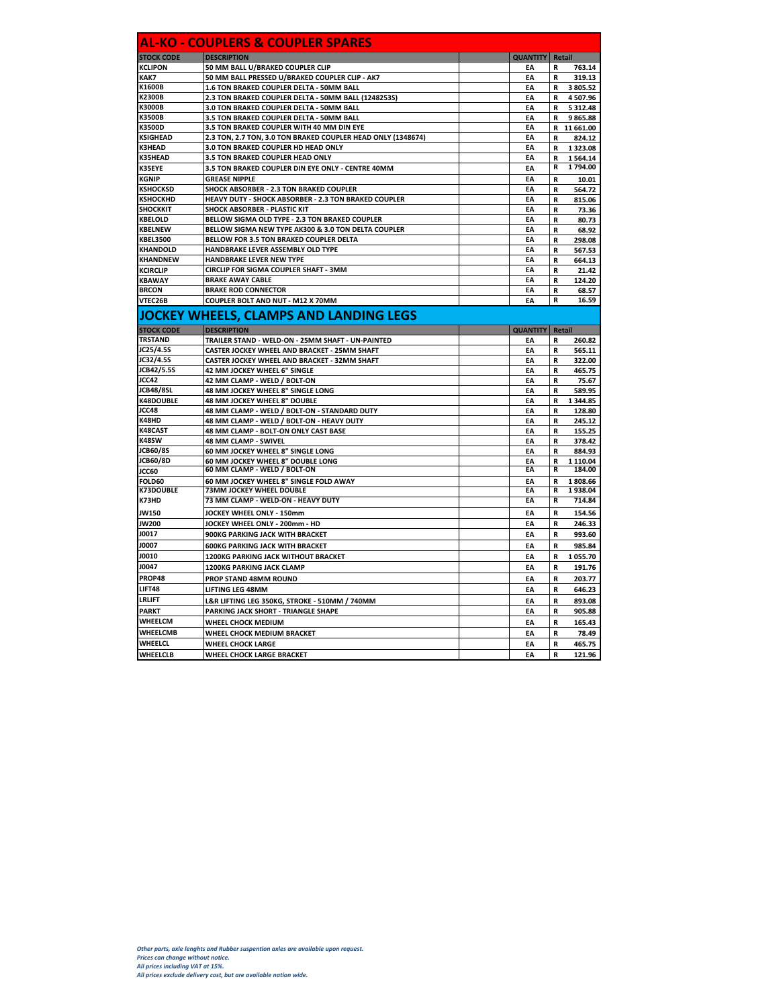| <b>STOCK CODE</b><br>KCLIPON<br>KAK7<br>K1600B<br>K2300B<br>К3000В<br>K3500B | <b>DESCRIPTION</b>                                           | AL-KO - COUPLERS & COUPLER SPARES |                           |  |  |  |
|------------------------------------------------------------------------------|--------------------------------------------------------------|-----------------------------------|---------------------------|--|--|--|
|                                                                              |                                                              | <b>QUANTITY</b><br>Retail         |                           |  |  |  |
|                                                                              | 50 MM BALL U/BRAKED COUPLER CLIP                             | EA                                | 763.14<br>R               |  |  |  |
|                                                                              | 50 MM BALL PRESSED U/BRAKED COUPLER CLIP - AK7               | EA                                | R<br>319.13               |  |  |  |
|                                                                              | 1.6 TON BRAKED COUPLER DELTA - 50MM BALL                     | EA                                | R<br>3 805.52             |  |  |  |
|                                                                              | 2.3 TON BRAKED COUPLER DELTA - 50MM BALL (1248253S)          | ΕA                                | R<br>4 507.96             |  |  |  |
|                                                                              | 3.0 TON BRAKED COUPLER DELTA - 50MM BALL                     | EA                                | 5 3 1 2.48<br>R           |  |  |  |
|                                                                              | 3.5 TON BRAKED COUPLER DELTA - 50MM BALL                     | EA                                | 9865.88<br>R              |  |  |  |
| K3500D                                                                       | 3.5 TON BRAKED COUPLER WITH 40 MM DIN EYE                    | EA                                | R<br>11 661.00            |  |  |  |
| <b>KSIGHEAD</b>                                                              | 2.3 TON, 2.7 TON, 3.0 TON BRAKED COUPLER HEAD ONLY (1348674) | EA                                | 824.12<br>R               |  |  |  |
| <b>K3HEAD</b>                                                                | 3.0 TON BRAKED COUPLER HD HEAD ONLY                          | EA                                | R<br>1 323.08             |  |  |  |
| <b>K35HEAD</b>                                                               | 3.5 TON BRAKED COUPLER HEAD ONLY                             | EA                                | R<br>1564.14              |  |  |  |
| K35EYE                                                                       | 3.5 TON BRAKED COUPLER DIN EYE ONLY - CENTRE 40MM            | EA                                | 1794.00<br>R              |  |  |  |
| KGNIP                                                                        | <b>GREASE NIPPLE</b>                                         | EA                                | R<br>10.01                |  |  |  |
| KSHOCKSD                                                                     | SHOCK ABSORBER - 2.3 TON BRAKED COUPLER                      | EA                                | R<br>564.72               |  |  |  |
| <b>KSHOCKHD</b>                                                              | HEAVY DUTY - SHOCK ABSORBER - 2.3 TON BRAKED COUPLER         | EA                                | R<br>815.06               |  |  |  |
| <b>SHOCKKIT</b>                                                              | SHOCK ABSORBER - PLASTIC KIT                                 | EA                                | R<br>73.36                |  |  |  |
| KBELOLD                                                                      | BELLOW SIGMA OLD TYPE - 2.3 TON BRAKED COUPLER               | EA                                | 80.73<br>R                |  |  |  |
| <b>KBELNEW</b>                                                               | BELLOW SIGMA NEW TYPE AK300 & 3.0 TON DELTA COUPLER          | EA                                | R<br>68.92                |  |  |  |
| <b>KBEL3500</b>                                                              | BELLOW FOR 3.5 TON BRAKED COUPLER DELTA                      | EA                                | R<br>298.08               |  |  |  |
| KHANDOLD                                                                     | HANDBRAKE LEVER ASSEMBLY OLD TYPE                            | EA                                | R<br>567.53               |  |  |  |
| KHANDNEW                                                                     | HANDBRAKE LEVER NEW TYPE                                     | EA                                | 664.13<br>R               |  |  |  |
| KCIRCLIP                                                                     | CIRCLIP FOR SIGMA COUPLER SHAFT - 3MM                        | EA                                | R<br>21.42                |  |  |  |
| <b>KBAWAY</b>                                                                | <b>BRAKE AWAY CABLE</b>                                      | EA                                | R<br>124.20               |  |  |  |
| <b>BRCON</b>                                                                 | <b>BRAKE ROD CONNECTOR</b>                                   | EA                                | R<br>68.57                |  |  |  |
| VTEC26B                                                                      | COUPLER BOLT AND NUT - M12 X 70MM                            | EA                                | R<br>16.59                |  |  |  |
|                                                                              | JOCKEY WHEELS, CLAMPS AND LANDING LEGS                       |                                   |                           |  |  |  |
| <b>STOCK CODE</b>                                                            | <b>DESCRIPTION</b>                                           | <b>QUANTITY</b>                   | Retail                    |  |  |  |
| <b>TRSTAND</b>                                                               | TRAILER STAND - WELD-ON - 25MM SHAFT - UN-PAINTED            | EA                                | 260.82<br>R               |  |  |  |
| JC25/4.5S                                                                    | CASTER JOCKEY WHEEL AND BRACKET - 25MM SHAFT                 | EA                                | 565.11<br>R               |  |  |  |
| JC32/4.5S                                                                    | CASTER JOCKEY WHEEL AND BRACKET - 32MM SHAFT                 | EA                                | R<br>322.00               |  |  |  |
| JCB42/5.5S                                                                   | 42 MM JOCKEY WHEEL 6" SINGLE                                 | EA                                | 465.75<br>R               |  |  |  |
| JCC42                                                                        | 42 MM CLAMP - WELD / BOLT-ON                                 | EA                                | R<br>75.67                |  |  |  |
| <b>JCB48/8SL</b>                                                             | 48 MM JOCKEY WHEEL 8" SINGLE LONG                            | EA                                | 589.95<br>R               |  |  |  |
| <b>K48DOUBLE</b>                                                             | 48 MM JOCKEY WHEEL 8" DOUBLE                                 | EA                                | R<br>1 344.85             |  |  |  |
| JCC48                                                                        | 48 MM CLAMP - WELD / BOLT-ON - STANDARD DUTY                 | EA                                | R<br>128.80               |  |  |  |
| K48HD                                                                        | 48 MM CLAMP - WELD / BOLT-ON - HEAVY DUTY                    | EA                                | R<br>245.12               |  |  |  |
| K48CAST                                                                      | 48 MM CLAMP - BOLT-ON ONLY CAST BASE                         | EA                                | R<br>155.25               |  |  |  |
| K48SW                                                                        | 48 MM CLAMP - SWIVEL                                         | EA                                | 378.42<br>R               |  |  |  |
| ICB60/8S                                                                     | 60 MM JOCKEY WHEEL 8" SINGLE LONG                            | EA                                | R<br>884.93               |  |  |  |
| JCB60/8D                                                                     | 60 MM JOCKEY WHEEL 8" DOUBLE LONG                            | EA                                | R<br>1 110.04             |  |  |  |
| JCC60                                                                        | 60 MM CLAMP - WELD / BOLT-ON                                 | EA                                | 184.00<br>R               |  |  |  |
| <b>FOLD60</b>                                                                | 60 MM JOCKEY WHEEL 8" SINGLE FOLD AWAY                       | EA                                | R<br>1808.66              |  |  |  |
| <b>K73DOUBLE</b>                                                             | 73MM JOCKEY WHEEL DOUBLE                                     | EA                                | R<br>1938.04              |  |  |  |
| K73HD                                                                        | 73 MM CLAMP - WELD-ON - HEAVY DUTY                           | EA                                | R<br>714.84               |  |  |  |
| JW150                                                                        | JOCKEY WHEEL ONLY - 150mm                                    | EA                                | R<br>154.56               |  |  |  |
|                                                                              | JOCKEY WHEEL ONLY - 200mm - HD                               | EA                                | R<br>246.33               |  |  |  |
|                                                                              | 900KG PARKING JACK WITH BRACKET                              | EA                                | R<br>993.60               |  |  |  |
| JW200                                                                        |                                                              |                                   |                           |  |  |  |
| J0017                                                                        | <b>600KG PARKING JACK WITH BRACKET</b>                       | EA                                | R<br>985.84               |  |  |  |
| J0007                                                                        |                                                              |                                   |                           |  |  |  |
| J0010                                                                        | 1200KG PARKING JACK WITHOUT BRACKET                          | EA                                | R<br>1055.70              |  |  |  |
| J0047                                                                        | <b>1200KG PARKING JACK CLAMP</b>                             | EA                                | R<br>191.76               |  |  |  |
| PROP48                                                                       | PROP STAND 48MM ROUND                                        | EA                                | 203.77<br>R               |  |  |  |
| LIFT48                                                                       | LIFTING LEG 48MM                                             | EA                                | R<br>646.23               |  |  |  |
| LRLIFT                                                                       | L&R LIFTING LEG 350KG, STROKE - 510MM / 740MM                | EA                                | 893.08<br>R               |  |  |  |
| <b>PARKT</b>                                                                 |                                                              | EA                                | R                         |  |  |  |
| WHEELCM                                                                      | PARKING JACK SHORT - TRIANGLE SHAPE                          |                                   | 905.88                    |  |  |  |
|                                                                              | WHEEL CHOCK MEDIUM                                           | EA                                | R<br>165.43               |  |  |  |
| WHEELCMB<br>WHEELCL                                                          | WHEEL CHOCK MEDIUM BRACKET<br><b>WHEEL CHOCK LARGE</b>       | EA<br>EA                          | R<br>78.49<br>465.75<br>R |  |  |  |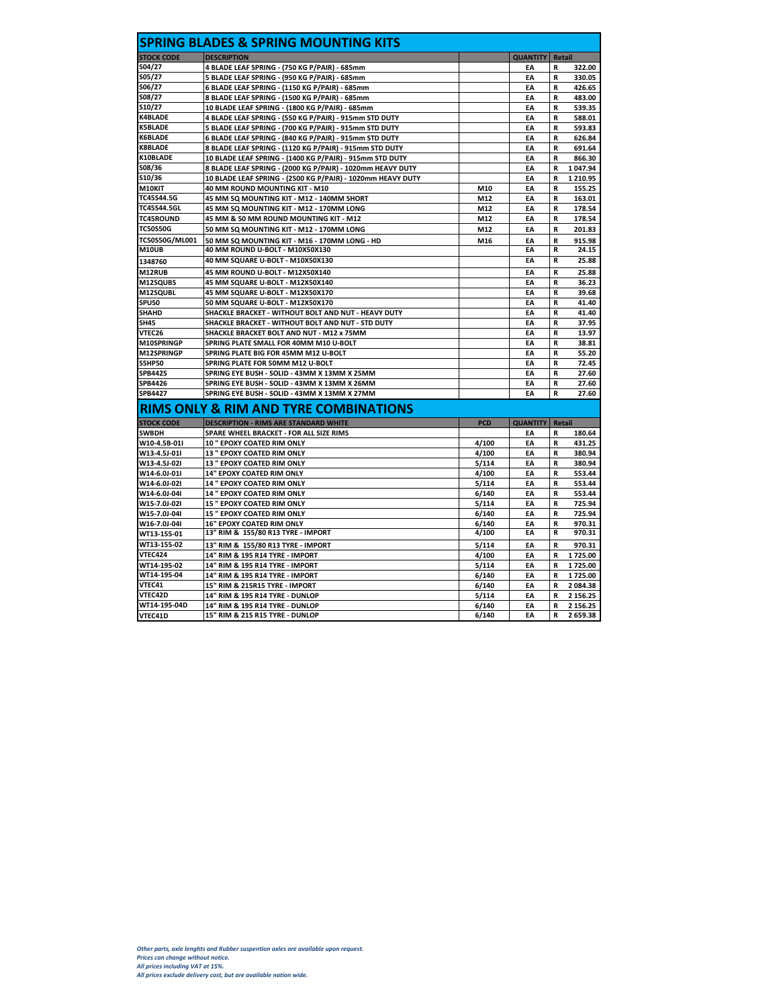| <b>STOCK CODE</b>                                                                                                        | <b>DESCRIPTION</b>                                          |            | <b>QUANTITY</b> | Retail        |                                                                             |
|--------------------------------------------------------------------------------------------------------------------------|-------------------------------------------------------------|------------|-----------------|---------------|-----------------------------------------------------------------------------|
| S04/27                                                                                                                   | 4 BLADE LEAF SPRING - (750 KG P/PAIR) - 685mm               |            | EA              | R             | 322.00                                                                      |
| S05/27                                                                                                                   | 5 BLADE LEAF SPRING - (950 KG P/PAIR) - 685mm               |            | EA              | R             | 330.05                                                                      |
| S06/27                                                                                                                   | 6 BLADE LEAF SPRING - (1150 KG P/PAIR) - 685mm              |            | EA              | R             | 426.65                                                                      |
| S08/27                                                                                                                   | 8 BLADE LEAF SPRING - (1500 KG P/PAIR) - 685mm              |            | EA              | R             | 483.00                                                                      |
| S10/27                                                                                                                   | 10 BLADE LEAF SPRING - (1800 KG P/PAIR) - 685mm             |            | EA              | R             | 539.35                                                                      |
| <b>K4BLADE</b>                                                                                                           | 4 BLADE LEAF SPRING - (550 KG P/PAIR) - 915mm STD DUTY      |            | EA              | R             | 588.01                                                                      |
| <b>K5BLADE</b>                                                                                                           | 5 BLADE LEAF SPRING - (700 KG P/PAIR) - 915mm STD DUTY      |            | EA              | R             | 593.83                                                                      |
| <b>K6BLADE</b>                                                                                                           | 6 BLADE LEAF SPRING - (840 KG P/PAIR) - 915mm STD DUTY      |            | EA              | R             | 626.84                                                                      |
| <b>K8BLADE</b>                                                                                                           | 8 BLADE LEAF SPRING - (1120 KG P/PAIR) - 915mm STD DUTY     |            | EA              | R             | 691.64                                                                      |
| K10BLADE                                                                                                                 | 10 BLADE LEAF SPRING - (1400 KG P/PAIR) - 915mm STD DUTY    |            | EA              | R             | 866.30                                                                      |
| SO8/36                                                                                                                   | 8 BLADE LEAF SPRING - (2000 KG P/PAIR) - 1020mm HEAVY DUTY  |            | EA              | R             | 1 047.94                                                                    |
| S10/36                                                                                                                   | 10 BLADE LEAF SPRING - (2500 KG P/PAIR) - 1020mm HEAVY DUTY |            | EA              | R             | 1 2 1 0.95                                                                  |
| M10KIT                                                                                                                   | 40 MM ROUND MOUNTING KIT - M10                              | M10        | EA              | R             | 155.25                                                                      |
| TC45S44.5G                                                                                                               | 45 MM SQ MOUNTING KIT - M12 - 140MM SHORT                   | M12        | EA              | R             | 163.01                                                                      |
| TC45S44.5GL                                                                                                              | 45 MM SQ MOUNTING KIT - M12 - 170MM LONG                    | M12        | EA              | R             | 178.54                                                                      |
| <b>TC45ROUND</b>                                                                                                         | 45 MM & 50 MM ROUND MOUNTING KIT - M12                      | M12        | EA              | R             | 178.54                                                                      |
| <b>TC50S50G</b>                                                                                                          | 50 MM SQ MOUNTING KIT - M12 - 170MM LONG                    | M12        | EA              | R             | 201.83                                                                      |
| <b>TC50S50G/ML001</b>                                                                                                    | 50 MM SQ MOUNTING KIT - M16 - 170MM LONG - HD               | M16        | EA              | R             | 915.98                                                                      |
| <b>M10UB</b>                                                                                                             | 40 MM ROUND U-BOLT - M10X50X130                             |            | ΕA              | R             | 24.15                                                                       |
| 1348760                                                                                                                  | 40 MM SQUARE U-BOLT - M10X50X130                            |            | EA              | R             | 25.88                                                                       |
| M12RUB                                                                                                                   | 45 MM ROUND U-BOLT - M12X50X140                             |            | EA              | R             | 25.88                                                                       |
| M12SQUBS                                                                                                                 | 45 MM SQUARE U-BOLT - M12X50X140                            |            | EA              | R             | 36.23                                                                       |
| M12SQUBL                                                                                                                 | 45 MM SQUARE U-BOLT - M12X50X170                            |            | EA              | R             | 39.68                                                                       |
| <b>SPU50</b>                                                                                                             | 50 MM SQUARE U-BOLT - M12X50X170                            |            | EA              | R             | 41.40                                                                       |
| <b>SHAHD</b>                                                                                                             | SHACKLE BRACKET - WITHOUT BOLT AND NUT - HEAVY DUTY         |            | EA              | R             | 41.40                                                                       |
| <b>SH45</b>                                                                                                              | SHACKLE BRACKET - WITHOUT BOLT AND NUT - STD DUTY           |            | EA              | R             | 37.95                                                                       |
| VTEC26                                                                                                                   | SHACKLE BRACKET BOLT AND NUT - M12 x 75MM                   |            | EA              | R             | 13.97                                                                       |
| M10SPRINGP                                                                                                               | SPRING PLATE SMALL FOR 40MM M10 U-BOLT                      |            | EA              | R             | 38.81                                                                       |
| M12SPRINGP                                                                                                               | SPRING PLATE BIG FOR 45MM M12 U-BOLT                        |            | EA              | R             | 55.20                                                                       |
| <b>S5HP50</b>                                                                                                            | SPRING PLATE FOR 50MM M12 U-BOLT                            |            | EA              | R             | 72.45                                                                       |
| SPB4425                                                                                                                  | SPRING EYE BUSH - SOLID - 43MM X 13MM X 25MM                |            | EA              | R             | 27.60                                                                       |
| SPB4426                                                                                                                  | SPRING EYE BUSH - SOLID - 43MM X 13MM X 26MM                |            | EA              | R             | 27.60                                                                       |
| <b>SPB4427</b>                                                                                                           | SPRING EYE BUSH - SOLID - 43MM X 13MM X 27MM                |            | EA              | R             | 27.60                                                                       |
|                                                                                                                          |                                                             |            |                 |               |                                                                             |
|                                                                                                                          | RIMS ONLY & RIM AND TYRE COMBINATIONS                       |            |                 |               |                                                                             |
| <b>STOCK CODE</b>                                                                                                        | <b>DESCRIPTION - RIMS ARE STANDARD WHITE</b>                | <b>PCD</b> | <b>QUANTITY</b> | <b>Retail</b> |                                                                             |
| <b>SWBDH</b>                                                                                                             | SPARE WHEEL BRACKET - FOR ALL SIZE RIMS                     |            | EA              | R             | 180.64                                                                      |
| W10-4.5B-01I                                                                                                             | 10 " EPOXY COATED RIM ONLY                                  | 4/100      | EA              | R             | 431.25                                                                      |
| W13-4.5J-01I                                                                                                             | <b>13 " EPOXY COATED RIM ONLY</b>                           | 4/100      | FΔ              | R             | 380.94                                                                      |
| W13-4.5J-02I                                                                                                             | <b>13 " EPOXY COATED RIM ONLY</b>                           | 5/114      | EA              | R             | 380.94                                                                      |
| W14-6.0J-01I                                                                                                             | <b>14" EPOXY COATED RIM ONLY</b>                            | 4/100      | EA              | R             | 553.44                                                                      |
| W14-6.0J-02I                                                                                                             | <b>14 " EPOXY COATED RIM ONLY</b>                           | 5/114      | EA              | R             | 553.44                                                                      |
| W14-6.0J-04I                                                                                                             | <b>14 " EPOXY COATED RIM ONLY</b>                           | 6/140      | EA              | R             | 553.44                                                                      |
| W15-7.0J-02I                                                                                                             | 15 " EPOXY COATED RIM ONLY                                  | 5/114      | EA              | R             | 725.94                                                                      |
| W15-7.0J-04I                                                                                                             | 15 " EPOXY COATED RIM ONLY                                  | 6/140      | EA              | R             | 725.94                                                                      |
|                                                                                                                          | <b>16" EPOXY COATED RIM ONLY</b>                            | 6/140      | EA              | R             | 970.31                                                                      |
|                                                                                                                          |                                                             |            |                 |               | 970.31                                                                      |
|                                                                                                                          | 13" RIM & 155/80 R13 TYRE - IMPORT                          | 4/100      | EA              | R             |                                                                             |
|                                                                                                                          | 13" RIM & 155/80 R13 TYRE - IMPORT                          | 5/114      | EA              | R             |                                                                             |
|                                                                                                                          | 14" RIM & 195 R14 TYRE - IMPORT                             | 4/100      | EA              | R             |                                                                             |
|                                                                                                                          | 14" RIM & 195 R14 TYRE - IMPORT                             | 5/114      | EA              | R             |                                                                             |
|                                                                                                                          | 14" RIM & 195 R14 TYRE - IMPORT                             | 6/140      | EA              | R             |                                                                             |
|                                                                                                                          | 15" RIM & 215R15 TYRE - IMPORT                              | 6/140      | EA              | R             |                                                                             |
|                                                                                                                          | 14" RIM & 195 R14 TYRE - DUNLOP                             | 5/114      | EA              | R             |                                                                             |
| W16-7.0J-04I<br>WT13-155-01<br>WT13-155-02<br>VTEC424<br>WT14-195-02<br>WT14-195-04<br>VTEC41<br>VTEC42D<br>WT14-195-04D | 14" RIM & 195 R14 TYRE - DUNLOP                             | 6/140      | EA              | R             | 970.31<br>1725.00<br>1725.00<br>1725.00<br>2 084.38<br>2 156.25<br>2 156.25 |
| VTEC41D                                                                                                                  | 15" RIM & 215 R15 TYRE - DUNLOP                             | 6/140      | EA              | R             | 2 659.38                                                                    |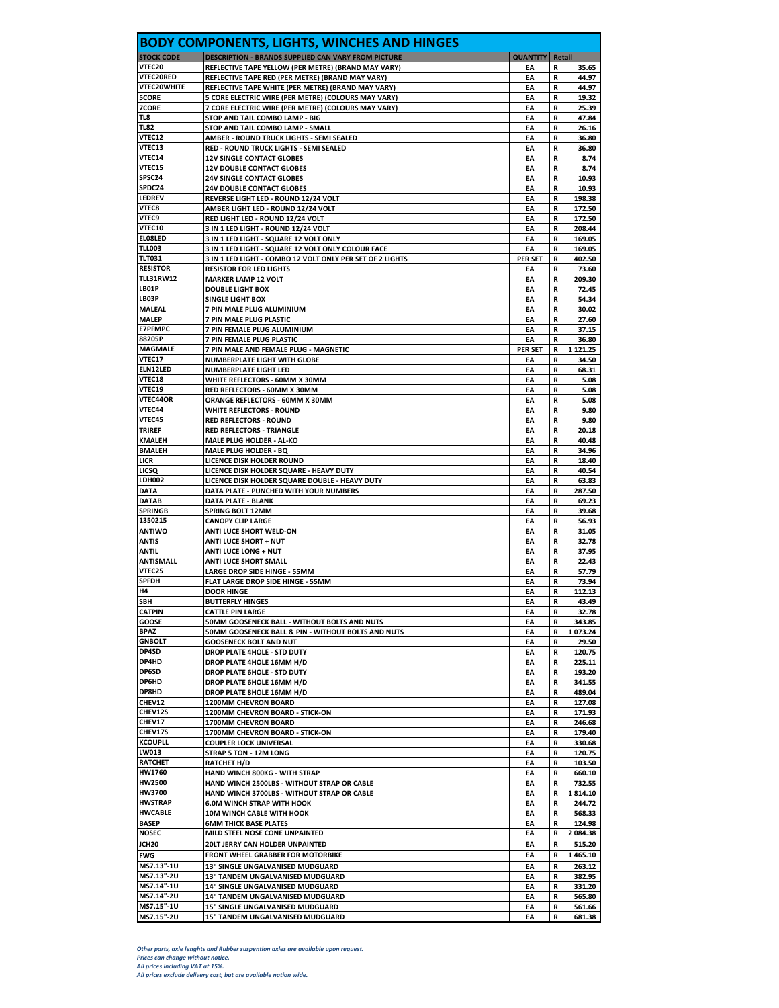|                                        | <b>BODY COMPONENTS, LIGHTS, WINCHES AND HINGES</b>                                                     |                 |                                  |
|----------------------------------------|--------------------------------------------------------------------------------------------------------|-----------------|----------------------------------|
| <b>STOCK CODE</b>                      | <b>DESCRIPTION - BRANDS SUPPLIED CAN VARY FROM PICTURE</b>                                             | <b>QUANTITY</b> | Retail                           |
| <b>VTEC20</b>                          | REFLECTIVE TAPE YELLOW (PER METRE) (BRAND MAY VARY)                                                    | EA              | 35.65<br>R                       |
| <b>VTEC20RED</b><br><b>VTEC20WHITE</b> | REFLECTIVE TAPE RED (PER METRE) (BRAND MAY VARY)<br>REFLECTIVE TAPE WHITE (PER METRE) (BRAND MAY VARY) | EA<br>EA        | 44.97<br>R<br>44.97<br>R         |
| <b>5CORE</b>                           | 5 CORE ELECTRIC WIRE (PER METRE) (COLOURS MAY VARY)                                                    | EA              | 19.32<br>R                       |
| 7CORE                                  | 7 CORE ELECTRIC WIRE (PER METRE) (COLOURS MAY VARY)                                                    | EA              | 25.39<br>R                       |
| TL8                                    | STOP AND TAIL COMBO LAMP - BIG                                                                         | EA              | 47.84<br>R                       |
| <b>TL82</b><br><b>VTEC12</b>           | STOP AND TAIL COMBO LAMP - SMALL<br>AMBER - ROUND TRUCK LIGHTS - SEMI SEALED                           | EA<br>EA        | R<br>26.16<br>36.80<br>R         |
| <b>VTEC13</b>                          | RED - ROUND TRUCK LIGHTS - SEMI SEALED                                                                 | EA              | 36.80<br>R                       |
| VTEC14                                 | <b>12V SINGLE CONTACT GLOBES</b>                                                                       | EA              | R<br>8.74                        |
| <b>VTEC15</b>                          | <b>12V DOUBLE CONTACT GLOBES</b>                                                                       | EA              | 8.74<br>R                        |
| SPSC24<br>SPDC24                       | <b>24V SINGLE CONTACT GLOBES</b>                                                                       | EA              | 10.93<br>R                       |
| LEDREV                                 | <b>24V DOUBLE CONTACT GLOBES</b><br><b>REVERSE LIGHT LED - ROUND 12/24 VOLT</b>                        | EA<br>EA        | R<br>10.93<br>198.38<br>R        |
| <b>VTEC8</b>                           | AMBER LIGHT LED - ROUND 12/24 VOLT                                                                     | EA              | 172.50<br>R                      |
| <b>VTEC9</b>                           | RED LIGHT LED - ROUND 12/24 VOLT                                                                       | EA              | R<br>172.50                      |
| <b>VTEC10</b>                          | 3 IN 1 LED LIGHT - ROUND 12/24 VOLT                                                                    | EA              | 208.44<br>R                      |
| EL08LED<br><b>TLL003</b>               | 3 IN 1 LED LIGHT - SQUARE 12 VOLT ONLY<br>3 IN 1 LED LIGHT - SQUARE 12 VOLT ONLY COLOUR FACE           | EA<br>EA        | 169.05<br>R<br>R<br>169.05       |
| <b>TLT031</b>                          | 3 IN 1 LED LIGHT - COMBO 12 VOLT ONLY PER SET OF 2 LIGHTS                                              | <b>PER SET</b>  | 402.50<br>R                      |
| <b>RESISTOR</b>                        | <b>RESISTOR FOR LED LIGHTS</b>                                                                         | EA              | 73.60<br>R                       |
| <b>TLL31RW12</b>                       | <b>MARKER LAMP 12 VOLT</b>                                                                             | EA              | R<br>209.30                      |
| <b>LBO1P</b><br><b>LBO3P</b>           | <b>DOUBLE LIGHT BOX</b>                                                                                | EA<br>EA        | 72.45<br>R<br>54.34<br>R         |
| MALEAL                                 | <b>SINGLE LIGHT BOX</b><br>7 PIN MALE PLUG ALUMINIUM                                                   | EA              | R<br>30.02                       |
| <b>MALEP</b>                           | 7 PIN MALE PLUG PLASTIC                                                                                | EA              | 27.60<br>R                       |
| <b>E7PFMPC</b>                         | 7 PIN FEMALE PLUG ALUMINIUM                                                                            | EA              | 37.15<br>R                       |
| 88205P                                 | 7 PIN FEMALE PLUG PLASTIC                                                                              | EA              | 36.80<br>R                       |
| MAGMALE<br><b>VTEC17</b>               | 7 PIN MALE AND FEMALE PLUG - MAGNETIC<br><b>NUMBERPLATE LIGHT WITH GLOBE</b>                           | PER SET         | 1 1 2 1 . 2 5<br>R<br>34.50<br>R |
| <b>ELN12LED</b>                        | <b>NUMBERPLATE LIGHT LED</b>                                                                           | EA<br>EA        | 68.31<br>R                       |
| <b>VTEC18</b>                          | WHITE REFLECTORS - 60MM X 30MM                                                                         | EA              | R<br>5.08                        |
| VTEC19                                 | RED REFLECTORS - 60MM X 30MM                                                                           | EA              | R<br>5.08                        |
| <b>VTEC44OR</b>                        | ORANGE REFLECTORS - 60MM X 30MM                                                                        | EA              | 5.08<br>R                        |
| <b>VTEC44</b><br>VTEC45                | WHITE REFLECTORS - ROUND<br><b>RED REFLECTORS - ROUND</b>                                              | EA<br>EA        | 9.80<br>R<br>9.80<br>R           |
| <b>TRIREF</b>                          | <b>RED REFLECTORS - TRIANGLE</b>                                                                       | EA              | 20.18<br>R                       |
| KMALEH                                 | <b>MALE PLUG HOLDER - AL-KO</b>                                                                        | EA              | R<br>40.48                       |
| <b>BMALEH</b>                          | <b>MALE PLUG HOLDER - BQ</b>                                                                           | EA              | 34.96<br>R                       |
| LICR                                   | LICENCE DISK HOLDER ROUND                                                                              | EA              | 18.40<br>R                       |
| LICSQ<br>LDH002                        | LICENCE DISK HOLDER SQUARE - HEAVY DUTY<br>LICENCE DISK HOLDER SQUARE DOUBLE - HEAVY DUTY              | EA<br>EA        | R<br>40.54<br>63.83<br>R         |
| <b>DATA</b>                            | DATA PLATE - PUNCHED WITH YOUR NUMBERS                                                                 | EA              | 287.50<br>R                      |
| <b>DATAB</b>                           | DATA PLATE - BLANK                                                                                     | EA              | R<br>69.23                       |
| <b>SPRINGB</b>                         | <b>SPRING BOLT 12MM</b>                                                                                | EA              | 39.68<br>R                       |
| 1350215<br>ANTIWO                      | <b>CANOPY CLIP LARGE</b><br><b>ANTI LUCE SHORT WELD-ON</b>                                             | EA<br>EA        | 56.93<br>R<br>R<br>31.05         |
| ANTIS                                  | <b>ANTI LUCE SHORT + NUT</b>                                                                           | EA              | 32.78<br>R                       |
| ANTIL                                  | <b>ANTI LUCE LONG + NUT</b>                                                                            | EA              | 37.95<br>R                       |
| ANTISMALL                              | ANTI LUCE SHORT SMALL                                                                                  | EA              | R<br>22.43                       |
| <b>VTEC25</b>                          | <b>LARGE DROP SIDE HINGE - 55MM</b>                                                                    | EA              | 57.79<br>R                       |
| SPFDH<br>H4                            | <b>FLAT LARGE DROP SIDE HINGE - 55MM</b><br><b>DOOR HINGE</b>                                          | EA<br>EA        | 73.94<br>R<br>R<br>112.13        |
| <b>SBH</b>                             | <b>BUTTERFLY HINGES</b>                                                                                | EA              | R<br>43.49                       |
| <b>CATPIN</b>                          | <b>CATTLE PIN LARGE</b>                                                                                | EA              | 32.78<br>R                       |
| GOOSE                                  | 50MM GOOSENECK BALL - WITHOUT BOLTS AND NUTS                                                           | EA              | 343.85<br>R                      |
| <b>BPAZ</b>                            | 50MM GOOSENECK BALL & PIN - WITHOUT BOLTS AND NUTS                                                     | EA              | R<br>1073.24                     |
| <b>GNBOLT</b><br>DP4SD                 | <b>GOOSENECK BOLT AND NUT</b><br>DROP PLATE 4HOLE - STD DUTY                                           | EA<br>EA        | 29.50<br>R<br>R<br>120.75        |
| DP4HD                                  | DROP PLATE 4HOLE 16MM H/D                                                                              | EA              | R<br>225.11                      |
| <b>DP6SD</b>                           | DROP PLATE 6HOLE - STD DUTY                                                                            | EA              | 193.20<br>R                      |
| DP6HD                                  | DROP PLATE 6HOLE 16MM H/D                                                                              | EA              | 341.55<br>R                      |
| <b>DP8HD</b><br>CHEV12                 | DROP PLATE 8HOLE 16MM H/D                                                                              | EA<br>EA        | R<br>489.04<br>R                 |
| CHEV12S                                | 1200MM CHEVRON BOARD<br>1200MM CHEVRON BOARD - STICK-ON                                                | EA              | 127.08<br>171.93<br>R            |
| <b>CHEV17</b>                          | 1700MM CHEVRON BOARD                                                                                   | EA              | R<br>246.68                      |
| CHEV17S                                | 1700MM CHEVRON BOARD - STICK-ON                                                                        | EA              | R<br>179.40                      |
| <b>KCOUPLL</b>                         | <b>COUPLER LOCK UNIVERSAL</b>                                                                          | EA              | 330.68<br>R                      |
| LW013<br>RATCHET                       | STRAP 5 TON - 12M LONG<br>RATCHET H/D                                                                  | EA<br>EA        | R<br>120.75<br>103.50<br>R       |
| <b>HW1760</b>                          | HAND WINCH 800KG - WITH STRAP                                                                          | EA              | 660.10<br>R                      |
| HW2500                                 | HAND WINCH 2500LBS - WITHOUT STRAP OR CABLE                                                            | EA              | 732.55<br>R                      |
| <b>HW3700</b>                          | HAND WINCH 3700LBS - WITHOUT STRAP OR CABLE                                                            | EA              | 1814.10<br>R                     |
| HWSTRAP                                | <b>6.0M WINCH STRAP WITH HOOK</b>                                                                      | EA              | 244.72<br>R                      |
| <b>HWCABLE</b><br>BASEP                | 10M WINCH CABLE WITH HOOK<br><b>6MM THICK BASE PLATES</b>                                              | EA<br>EA        | 568.33<br>R<br>R<br>124.98       |
| NOSEC                                  | MILD STEEL NOSE CONE UNPAINTED                                                                         | EA              | 2 084.38<br>R                    |
| JCH20                                  | 20LT JERRY CAN HOLDER UNPAINTED                                                                        | EA              | R<br>515.20                      |
| <b>FWG</b>                             | FRONT WHEEL GRABBER FOR MOTORBIKE                                                                      | EA              | R<br>1465.10                     |
| MS7.13"-1U                             | 13" SINGLE UNGALVANISED MUDGUARD                                                                       | EA              | 263.12<br>R                      |
| MS7.13"-2U                             | 13" TANDEM UNGALVANISED MUDGUARD                                                                       | EA              | 382.95<br>R                      |
| MS7.14"-1U<br>MS7.14"-2U               | 14" SINGLE UNGALVANISED MUDGUARD<br>14" TANDEM UNGALVANISED MUDGUARD                                   | EA<br>EA        | 331.20<br>R<br>R<br>565.80       |
| MS7.15"-1U                             | 15" SINGLE UNGALVANISED MUDGUARD                                                                       | EA              | R<br>561.66                      |
| MS7.15"-2U                             | 15" TANDEM UNGALVANISED MUDGUARD                                                                       | EA              | 681.38<br>R                      |

Other parts, axle lenghts and Rubber suspention axles are available upon request.<br>Prices can change without notice.<br>All prices including VAT at 15%.<br>All prices exclude delivery cost, but are available nation wide.